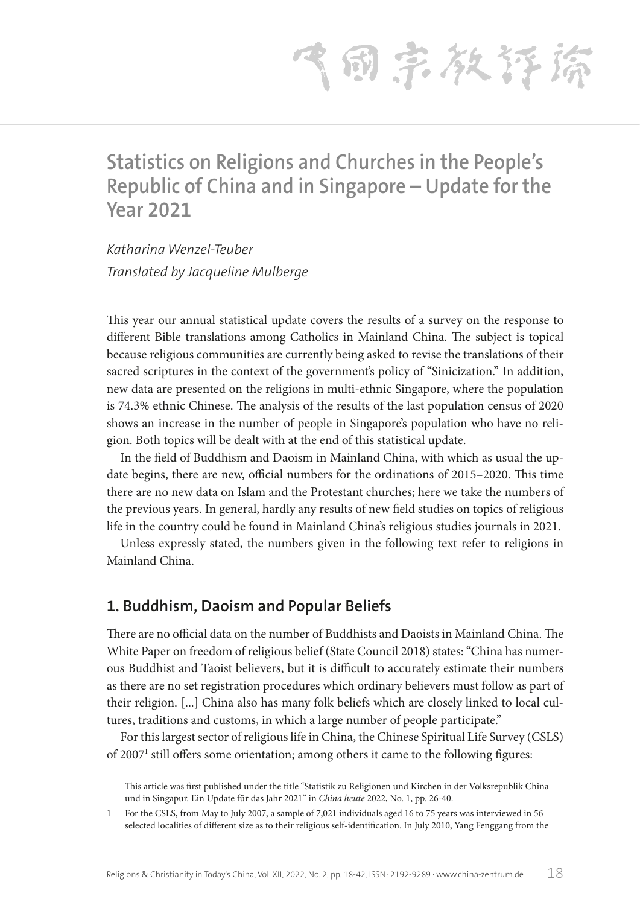飞雨宗教存裕

# **Statistics on Religions and Churches in the People's Republic of China and in Singapore – Update for the Year 2021**

*Katharina Wenzel-Teuber Translated by Jacqueline Mulberge*

This year our annual statistical update covers the results of a survey on the response to different Bible translations among Catholics in Mainland China. The subject is topical because religious communities are currently being asked to revise the translations of their sacred scriptures in the context of the government's policy of "Sinicization." In addition, new data are presented on the religions in multi-ethnic Singapore, where the population is 74.3% ethnic Chinese. The analysis of the results of the last population census of 2020 shows an increase in the number of people in Singapore's population who have no religion. Both topics will be dealt with at the end of this statistical update.

In the field of Buddhism and Daoism in Mainland China, with which as usual the update begins, there are new, official numbers for the ordinations of 2015–2020. This time there are no new data on Islam and the Protestant churches; here we take the numbers of the previous years. In general, hardly any results of new field studies on topics of religious life in the country could be found in Mainland China's religious studies journals in 2021.

Unless expressly stated, the numbers given in the following text refer to religions in Mainland China.

## **1. Buddhism, Daoism and Popular Beliefs**

There are no official data on the number of Buddhists and Daoists in Mainland China. The White Paper on freedom of religious belief (State Council 2018) states: "China has numerous Buddhist and Taoist believers, but it is difficult to accurately estimate their numbers as there are no set registration procedures which ordinary believers must follow as part of their religion. [...] China also has many folk beliefs which are closely linked to local cultures, traditions and customs, in which a large number of people participate."

For this largest sector of religious life in China, the Chinese Spiritual Life Survey (CSLS) of 2007<sup>1</sup> still offers some orientation; among others it came to the following figures:

This article was first published under the title "Statistik zu Religionen und Kirchen in der Volksrepublik China und in Singapur. Ein Update für das Jahr 2021" in *China heute* 2022, No. 1, pp. 26-40.

<sup>1</sup> For the CSLS, from May to July 2007, a sample of 7,021 individuals aged 16 to 75 years was interviewed in 56 selected localities of different size as to their religious self-identification. In July 2010, Yang Fenggang from the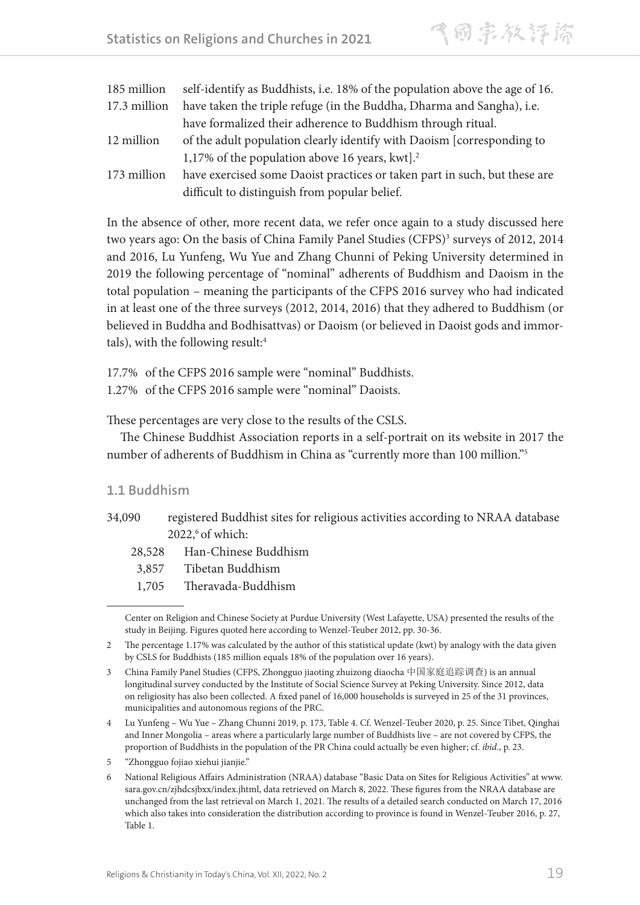| 185 million  | self-identify as Buddhists, i.e. 18% of the population above the age of 16. |
|--------------|-----------------------------------------------------------------------------|
| 17.3 million | have taken the triple refuge (in the Buddha, Dharma and Sangha), i.e.       |
|              | have formalized their adherence to Buddhism through ritual.                 |
| 12 million   | of the adult population clearly identify with Daoism [corresponding to      |
|              | 1,17% of the population above 16 years, kwt $\mathcal{L}^2$                 |
| 173 million  | have exercised some Daoist practices or taken part in such, but these are   |
|              | difficult to distinguish from popular belief.                               |

In the absence of other, more recent data, we refer once again to a study discussed here two years ago: On the basis of China Family Panel Studies (CFPS)<sup>3</sup> surveys of 2012, 2014 and 2016, Lu Yunfeng, Wu Yue and Zhang Chunni of Peking University determined in 2019 the following percentage of "nominal" adherents of Buddhism and Daoism in the total population – meaning the participants of the CFPS 2016 survey who had indicated in at least one of the three surveys (2012, 2014, 2016) that they adhered to Buddhism (or believed in Buddha and Bodhisattvas) or Daoism (or believed in Daoist gods and immortals), with the following result:<sup>4</sup>

17.7% of the CFPS 2016 sample were "nominal" Buddhists.

1.27% of the CFPS 2016 sample were "nominal" Daoists.

These percentages are very close to the results of the CSLS.

The Chinese Buddhist Association reports in a self-portrait on its website in 2017 the number of adherents of Buddhism in China as "currently more than 100 million."5

#### **1.1 Buddhism**

- 34,090 registered Buddhist sites for religious activities according to NRAA database  $2022$ ,  $6$  of which:
	- 28,528 Han-Chinese Buddhism
	- 3,857 Tibetan Buddhism
	- 1,705 Theravada-Buddhism

Center on Religion and Chinese Society at Purdue University (West Lafayette, USA) presented the results of the study in Beijing. Figures quoted here according to Wenzel-Teuber 2012, pp. 30-36.

<sup>2</sup> The percentage 1.17% was calculated by the author of this statistical update (kwt) by analogy with the data given by CSLS for Buddhists (185 million equals 18% of the population over 16 years).

<sup>3</sup> China Family Panel Studies (CFPS, Zhongguo jiaoting zhuizong diaocha 中国家庭追踪调查) is an annual longitudinal survey conducted by the Institute of Social Science Survey at Peking University. Since 2012, data on religiosity has also been collected. A fixed panel of 16,000 households is surveyed in 25 of the 31 provinces, municipalities and autonomous regions of the PRC.

<sup>4</sup> Lu Yunfeng – Wu Yue – Zhang Chunni 2019, p. 173, Table 4. Cf. Wenzel-Teuber 2020, p. 25. Since Tibet, Qinghai and Inner Mongolia – areas where a particularly large number of Buddhists live – are not covered by CFPS, the proportion of Buddhists in the population of the PR China could actually be even higher; cf. *ibid*., p. 23.

<sup>5</sup> "Zhongguo fojiao xiehui jianjie."

<sup>6</sup> National Religious Affairs Administration (NRAA) database "Basic Data on Sites for Religious Activities" at www. sara.gov.cn/zjhdcsjbxx/index.jhtml, data retrieved on March 8, 2022. These figures from the NRAA database are unchanged from the last retrieval on March 1, 2021. The results of a detailed search conducted on March 17, 2016 which also takes into consideration the distribution according to province is found in Wenzel-Teuber 2016, p. 27, Table 1.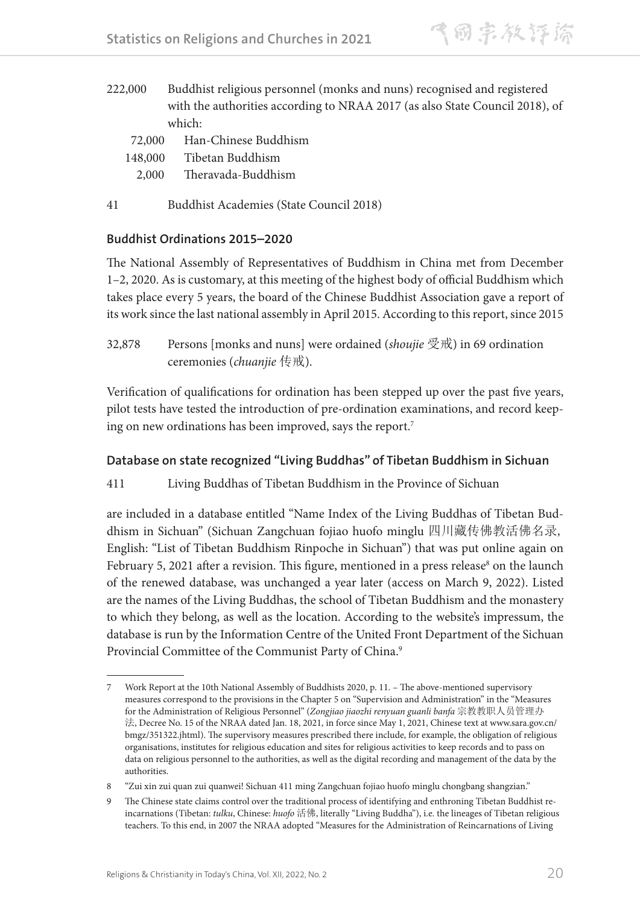- 222,000 Buddhist religious personnel (monks and nuns) recognised and registered with the authorities according to NRAA 2017 (as also State Council 2018), of which:
	- 72,000 Han-Chinese Buddhism
	- 148,000 Tibetan Buddhism
	- 2,000 Theravada-Buddhism
- 41 Buddhist Academies (State Council 2018)

## **Buddhist Ordinations 2015–2020**

The National Assembly of Representatives of Buddhism in China met from December 1–2, 2020. As is customary, at this meeting of the highest body of official Buddhism which takes place every 5 years, the board of the Chinese Buddhist Association gave a report of its work since the last national assembly in April 2015. According to this report, since 2015

32,878 Persons [monks and nuns] were ordained (*shoujie* 受戒) in 69 ordination ceremonies (*chuanjie* 传戒).

Verification of qualifications for ordination has been stepped up over the past five years, pilot tests have tested the introduction of pre-ordination examinations, and record keeping on new ordinations has been improved, says the report.7

## **Database on state recognized "Living Buddhas" of Tibetan Buddhism in Sichuan**

411 Living Buddhas of Tibetan Buddhism in the Province of Sichuan

are included in a database entitled "Name Index of the Living Buddhas of Tibetan Buddhism in Sichuan" (Sichuan Zangchuan fojiao huofo minglu 四川藏传佛教活佛名录, English: "List of Tibetan Buddhism Rinpoche in Sichuan") that was put online again on February 5, 2021 after a revision. This figure, mentioned in a press release<sup>8</sup> on the launch of the renewed database, was unchanged a year later (access on March 9, 2022). Listed are the names of the Living Buddhas, the school of Tibetan Buddhism and the monastery to which they belong, as well as the location. According to the website's impressum, the database is run by the Information Centre of the United Front Department of the Sichuan Provincial Committee of the Communist Party of China.<sup>9</sup>

<sup>7</sup> Work Report at the 10th National Assembly of Buddhists 2020, p. 11. – The above-mentioned supervisory measures correspond to the provisions in the Chapter 5 on "Supervision and Administration" in the "Measures for the Administration of Religious Personnel" (*Zongjiao jiaozhi renyuan guanli banfa* 宗教教职人员管理办 法, Decree No. 15 of the NRAA dated Jan. 18, 2021, in force since May 1, 2021, Chinese text at www.sara.gov.cn/ bmgz/351322.jhtml). The supervisory measures prescribed there include, for example, the obligation of religious organisations, institutes for religious education and sites for religious activities to keep records and to pass on data on religious personnel to the authorities, as well as the digital recording and management of the data by the authorities.

<sup>8</sup> "Zui xin zui quan zui quanwei! Sichuan 411 ming Zangchuan fojiao huofo minglu chongbang shangzian."

<sup>9</sup> The Chinese state claims control over the traditional process of identifying and enthroning Tibetan Buddhist reincarnations (Tibetan: *tulku*, Chinese: *huofo* 活佛, literally "Living Buddha"), i.e. the lineages of Tibetan religious teachers. To this end, in 2007 the NRAA adopted "Measures for the Administration of Reincarnations of Living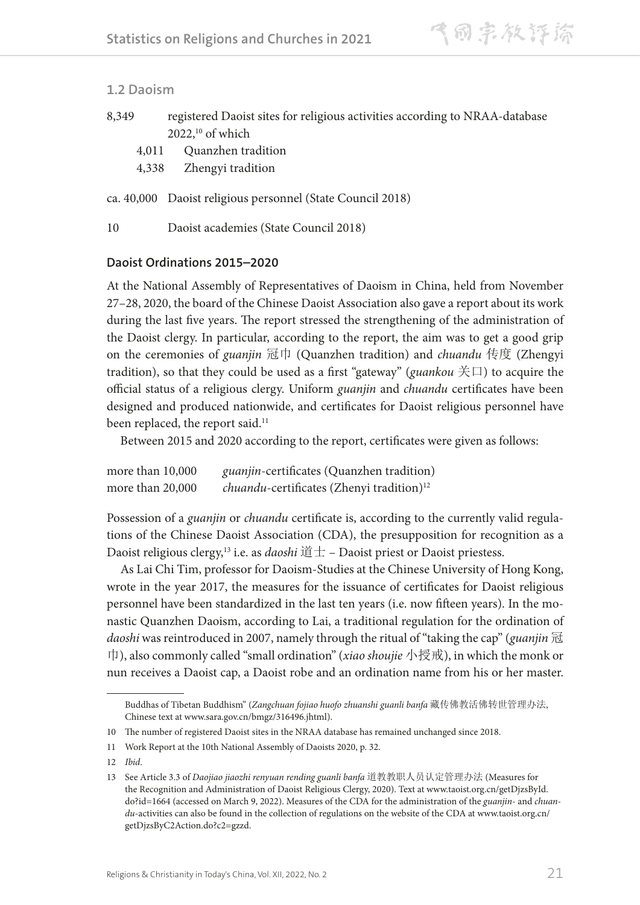#### **1.2 Daoism**

| 8,349 | registered Daoist sites for religious activities according to NRAA-database |
|-------|-----------------------------------------------------------------------------|
|       | $2022$ , <sup>10</sup> of which                                             |

- 4,011 Quanzhen tradition
- 4,338 Zhengyi tradition

ca. 40,000 Daoist religious personnel (State Council 2018)

10 Daoist academies (State Council 2018)

#### **Daoist Ordinations 2015–2020**

At the National Assembly of Representatives of Daoism in China, held from November 27–28, 2020, the board of the Chinese Daoist Association also gave a report about its work during the last five years. The report stressed the strengthening of the administration of the Daoist clergy. In particular, according to the report, the aim was to get a good grip on the ceremonies of *guanjin* 冠巾 (Quanzhen tradition) and *chuandu* 传度 (Zhengyi tradition), so that they could be used as a first "gateway" (*guankou* 关口) to acquire the official status of a religious clergy. Uniform *guanjin* and *chuandu* certificates have been designed and produced nationwide, and certificates for Daoist religious personnel have been replaced, the report said.<sup>11</sup>

Between 2015 and 2020 according to the report, certificates were given as follows:

| more than 10,000 | <i>guanjin-certificates</i> (Quanzhen tradition)              |
|------------------|---------------------------------------------------------------|
| more than 20,000 | <i>chuandu</i> -certificates (Zhenyi tradition) <sup>12</sup> |

Possession of a *guanjin* or *chuandu* certificate is, according to the currently valid regulations of the Chinese Daoist Association (CDA), the presupposition for recognition as a Daoist religious clergy,13 i.e. as *daoshi* 道士 – Daoist priest or Daoist priestess.

As Lai Chi Tim, professor for Daoism-Studies at the Chinese University of Hong Kong, wrote in the year 2017, the measures for the issuance of certificates for Daoist religious personnel have been standardized in the last ten years (i.e. now fifteen years). In the monastic Quanzhen Daoism, according to Lai, a traditional regulation for the ordination of *daoshi* was reintroduced in 2007, namely through the ritual of "taking the cap" (*guanjin* 冠 巾), also commonly called "small ordination" (*xiao shoujie* 小授戒), in which the monk or nun receives a Daoist cap, a Daoist robe and an ordination name from his or her master.

Buddhas of Tibetan Buddhism" (*Zangchuan fojiao huofo zhuanshi guanli banfa* 藏传佛教活佛转世管理办法, Chinese text at www.sara.gov.cn/bmgz/316496.jhtml).

<sup>10</sup> The number of registered Daoist sites in the NRAA database has remained unchanged since 2018.

<sup>11</sup> Work Report at the 10th National Assembly of Daoists 2020, p. 32.

<sup>12</sup> *Ibid*.

<sup>13</sup> See Article 3.3 of *Daojiao jiaozhi renyuan rending guanli banfa* 道教教职人员认定管理办法 (Measures for the Recognition and Administration of Daoist Religious Clergy, 2020). Text at www.taoist.org.cn/getDjzsById. do?id=1664 (accessed on March 9, 2022). Measures of the CDA for the administration of the *guanjin*- and *chuandu*-activities can also be found in the collection of regulations on the website of the CDA at www.taoist.org.cn/ getDjzsByC2Action.do?c2=gzzd.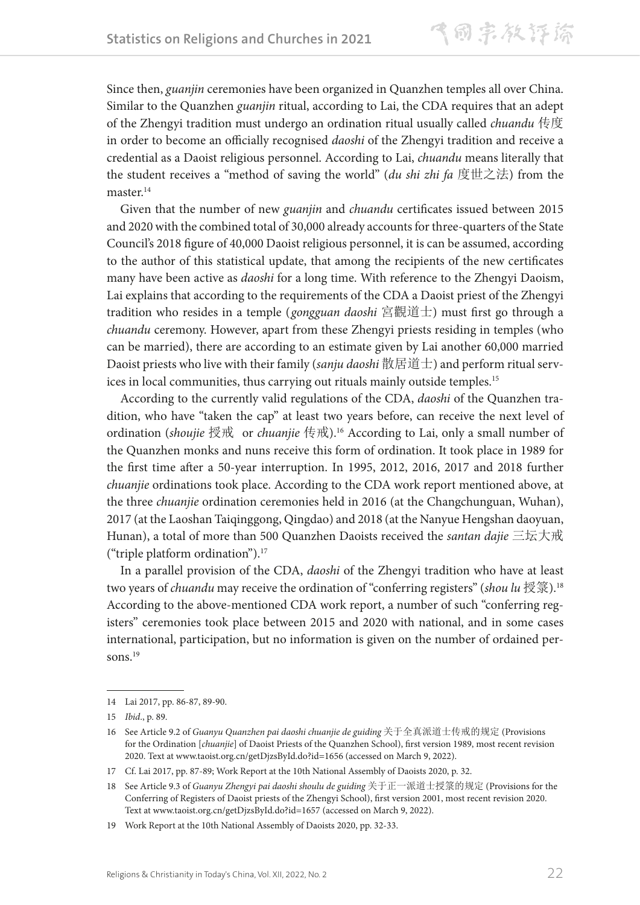Since then, *guanjin* ceremonies have been organized in Quanzhen temples all over China. Similar to the Quanzhen *guanjin* ritual, according to Lai, the CDA requires that an adept of the Zhengyi tradition must undergo an ordination ritual usually called *chuandu* 传度 in order to become an officially recognised *daoshi* of the Zhengyi tradition and receive a credential as a Daoist religious personnel. According to Lai, *chuandu* means literally that the student receives a "method of saving the world" (*du shi zhi fa* 度世之法) from the master.<sup>14</sup>

Given that the number of new *guanjin* and *chuandu* certificates issued between 2015 and 2020 with the combined total of 30,000 already accounts for three-quarters of the State Council's 2018 figure of 40,000 Daoist religious personnel, it is can be assumed, according to the author of this statistical update, that among the recipients of the new certificates many have been active as *daoshi* for a long time. With reference to the Zhengyi Daoism, Lai explains that according to the requirements of the CDA a Daoist priest of the Zhengyi tradition who resides in a temple (*gongguan daoshi* 宮觀道士) must first go through a *chuandu* ceremony. However, apart from these Zhengyi priests residing in temples (who can be married), there are according to an estimate given by Lai another 60,000 married Daoist priests who live with their family (*sanju daoshi* 散居道士) and perform ritual services in local communities, thus carrying out rituals mainly outside temples.<sup>15</sup>

According to the currently valid regulations of the CDA, *daoshi* of the Quanzhen tradition, who have "taken the cap" at least two years before, can receive the next level of ordination (*shoujie* 授戒 or *chuanjie* 传戒).16 According to Lai, only a small number of the Quanzhen monks and nuns receive this form of ordination. It took place in 1989 for the first time after a 50-year interruption. In 1995, 2012, 2016, 2017 and 2018 further *chuanjie* ordinations took place. According to the CDA work report mentioned above, at the three *chuanjie* ordination ceremonies held in 2016 (at the Changchunguan, Wuhan), 2017 (at the Laoshan Taiqinggong, Qingdao) and 2018 (at the Nanyue Hengshan daoyuan, Hunan), a total of more than 500 Quanzhen Daoists received the *santan dajie* 三坛大戒 ("triple platform ordination").17

In a parallel provision of the CDA, *daoshi* of the Zhengyi tradition who have at least two years of *chuandu* may receive the ordination of "conferring registers" (*shou lu* 授箓).18 According to the above-mentioned CDA work report, a number of such "conferring registers" ceremonies took place between 2015 and 2020 with national, and in some cases international, participation, but no information is given on the number of ordained persons.<sup>19</sup>

<sup>14</sup> Lai 2017, pp. 86-87, 89-90.

<sup>15</sup> *Ibid*., p. 89.

<sup>16</sup> See Article 9.2 of *Guanyu Quanzhen pai daoshi chuanjie de guiding* 关于全真派道士传戒的规定 (Provisions for the Ordination [*chuanjie*] of Daoist Priests of the Quanzhen School), first version 1989, most recent revision 2020. Text at www.taoist.org.cn/getDjzsById.do?id=1656 (accessed on March 9, 2022).

<sup>17</sup> Cf. Lai 2017, pp. 87-89; Work Report at the 10th National Assembly of Daoists 2020, p. 32.

<sup>18</sup> See Article 9.3 of *Guanyu Zhengyi pai daoshi shoulu de guiding* 关于正一派道士授箓的规定 (Provisions for the Conferring of Registers of Daoist priests of the Zhengyi School), first version 2001, most recent revision 2020. Text at www.taoist.org.cn/getDjzsById.do?id=1657 (accessed on March 9, 2022).

<sup>19</sup> Work Report at the 10th National Assembly of Daoists 2020, pp. 32-33.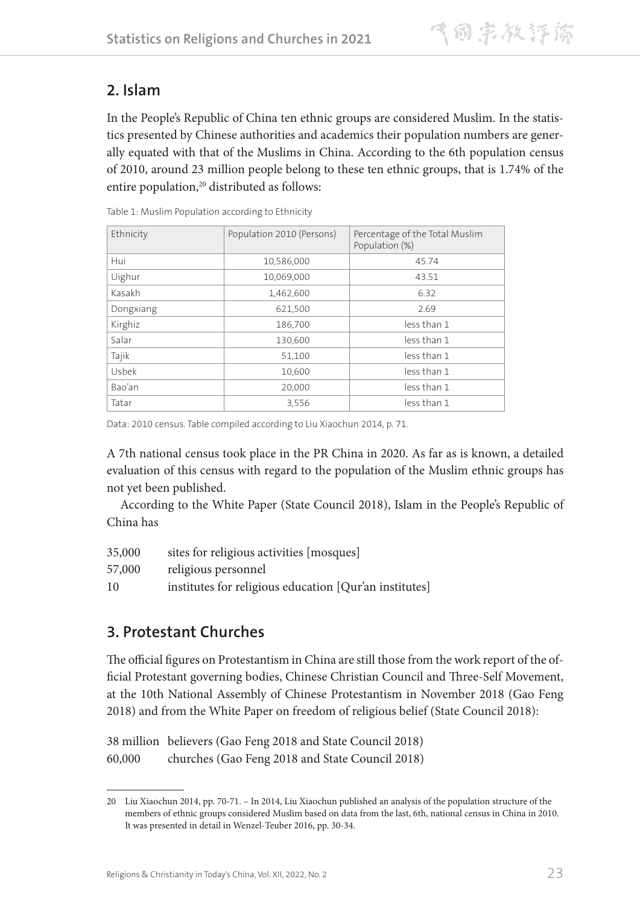## **2. Islam**

In the People's Republic of China ten ethnic groups are considered Muslim. In the statistics presented by Chinese authorities and academics their population numbers are generally equated with that of the Muslims in China. According to the 6th population census of 2010, around 23 million people belong to these ten ethnic groups, that is 1.74% of the entire population,<sup>20</sup> distributed as follows:

| Ethnicity | Population 2010 (Persons) | Percentage of the Total Muslim<br>Population (%) |
|-----------|---------------------------|--------------------------------------------------|
| Hui       | 10,586,000                | 45.74                                            |
| Uighur    | 10,069,000                | 43.51                                            |
| Kasakh    | 1,462,600                 | 6.32                                             |
| Dongxiang | 621,500                   | 2.69                                             |
| Kirghiz   | 186,700                   | less than 1                                      |
| Salar     | 130,600                   | less than 1                                      |
| Tajik     | 51,100                    | less than 1                                      |
| Usbek     | 10,600                    | less than 1                                      |
| Bao'an    | 20,000                    | less than 1                                      |
| Tatar     | 3,556                     | less than 1                                      |

Table 1: Muslim Population according to Ethnicity

Data: 2010 census. Table compiled according to Liu Xiaochun 2014, p. 71.

A 7th national census took place in the PR China in 2020. As far as is known, a detailed evaluation of this census with regard to the population of the Muslim ethnic groups has not yet been published.

According to the White Paper (State Council 2018), Islam in the People's Republic of China has

| 35,000 | sites for religious activities [mosques]               |
|--------|--------------------------------------------------------|
| 57,000 | religious personnel                                    |
| 10     | institutes for religious education [Qur'an institutes] |

## **3. Protestant Churches**

The official figures on Protestantism in China are still those from the work report of the official Protestant governing bodies, Chinese Christian Council and Three-Self Movement, at the 10th National Assembly of Chinese Protestantism in November 2018 (Gao Feng 2018) and from the White Paper on freedom of religious belief (State Council 2018):

38 million believers (Gao Feng 2018 and State Council 2018) 60,000 churches (Gao Feng 2018 and State Council 2018)

<sup>20</sup> Liu Xiaochun 2014, pp. 70-71. – In 2014, Liu Xiaochun published an analysis of the population structure of the members of ethnic groups considered Muslim based on data from the last, 6th, national census in China in 2010. It was presented in detail in Wenzel-Teuber 2016, pp. 30-34.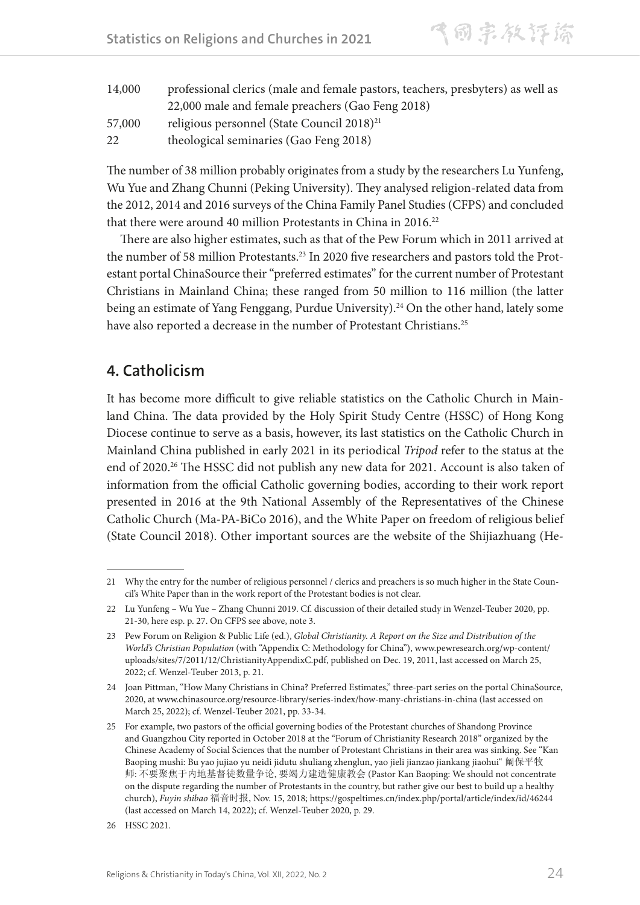**Statistics on Religions and Churches in 2021** 

气同宗教评除

| 14,000 | professional clerics (male and female pastors, teachers, presbyters) as well as |
|--------|---------------------------------------------------------------------------------|
|        | 22,000 male and female preachers (Gao Feng 2018)                                |
| 57,000 | religious personnel (State Council $2018)^{21}$                                 |
| 22     | theological seminaries (Gao Feng 2018)                                          |

The number of 38 million probably originates from a study by the researchers Lu Yunfeng, Wu Yue and Zhang Chunni (Peking University). They analysed religion-related data from the 2012, 2014 and 2016 surveys of the China Family Panel Studies (CFPS) and concluded that there were around 40 million Protestants in China in 2016.<sup>22</sup>

There are also higher estimates, such as that of the Pew Forum which in 2011 arrived at the number of 58 million Protestants.<sup>23</sup> In 2020 five researchers and pastors told the Protestant portal ChinaSource their "preferred estimates" for the current number of Protestant Christians in Mainland China; these ranged from 50 million to 116 million (the latter being an estimate of Yang Fenggang, Purdue University).<sup>24</sup> On the other hand, lately some have also reported a decrease in the number of Protestant Christians.<sup>25</sup>

## **4. Catholicism**

It has become more difficult to give reliable statistics on the Catholic Church in Mainland China. The data provided by the Holy Spirit Study Centre (HSSC) of Hong Kong Diocese continue to serve as a basis, however, its last statistics on the Catholic Church in Mainland China published in early 2021 in its periodical *Tripod* refer to the status at the end of 2020.<sup>26</sup> The HSSC did not publish any new data for 2021. Account is also taken of information from the official Catholic governing bodies, according to their work report presented in 2016 at the 9th National Assembly of the Representatives of the Chinese Catholic Church (Ma-PA-BiCo 2016), and the White Paper on freedom of religious belief (State Council 2018). Other important sources are the website of the Shijiazhuang (He-

<sup>21</sup> Why the entry for the number of religious personnel / clerics and preachers is so much higher in the State Council's White Paper than in the work report of the Protestant bodies is not clear.

<sup>22</sup> Lu Yunfeng – Wu Yue – Zhang Chunni 2019. Cf. discussion of their detailed study in Wenzel-Teuber 2020, pp. 21-30, here esp. p. 27. On CFPS see above, note 3.

<sup>23</sup> Pew Forum on Religion & Public Life (ed.), *Global Christianity. A Report on the Size and Distribution of the World's Christian Population* (with "Appendix C: Methodology for China"), www.pewresearch.org/wp-content/ uploads/sites/7/2011/12/ChristianityAppendixC.pdf, published on Dec. 19, 2011, last accessed on March 25, 2022; cf. Wenzel-Teuber 2013, p. 21.

<sup>24</sup> Joan Pittman, "How Many Christians in China? Preferred Estimates," three-part series on the portal ChinaSource, 2020, at www.chinasource.org/resource-library/series-index/how-many-christians-in-china (last accessed on March 25, 2022); cf. Wenzel-Teuber 2021, pp. 33-34.

<sup>25</sup> For example, two pastors of the official governing bodies of the Protestant churches of Shandong Province and Guangzhou City reported in October 2018 at the "Forum of Christianity Research 2018" organized by the Chinese Academy of Social Sciences that the number of Protestant Christians in their area was sinking. See "Kan Baoping mushi: Bu yao jujiao yu neidi jidutu shuliang zhenglun, yao jieli jianzao jiankang jiaohui" 阚保平牧 师: 不要聚焦于内地基督徒数量争论, 要竭力建造健康教会 (Pastor Kan Baoping: We should not concentrate on the dispute regarding the number of Protestants in the country, but rather give our best to build up a healthy church), *Fuyin shibao* 福音时报, Nov. 15, 2018; https://gospeltimes.cn/index.php/portal/article/index/id/46244 (last accessed on March 14, 2022); cf. Wenzel-Teuber 2020, p. 29.

<sup>26</sup> HSSC 2021.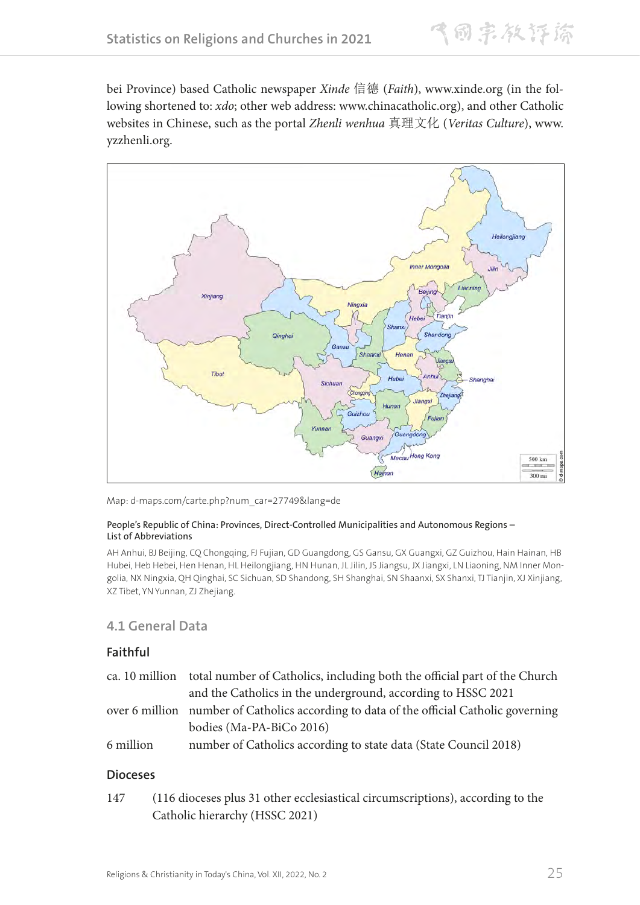飞同宗教评谛

bei Province) based Catholic newspaper *Xinde* 信德 (*Faith*), www.xinde.org (in the following shortened to: *xdo*; other web address: www.chinacatholic.org), and other Catholic websites in Chinese, such as the portal *Zhenli wenhua* 真理文化 (*Veritas Culture*), www. yzzhenli.org.



Map: d-maps.com/carte.php?num\_car=27749&lang=de

#### People's Republic of China: Provinces, Direct-Controlled Municipalities and Autonomous Regions – List of Abbreviations

AH Anhui, BJ Beijing, CQ Chongqing, FJ Fujian, GD Guangdong, GS Gansu, GX Guangxi, GZ Guizhou, Hain Hainan, HB Hubei, Heb Hebei, Hen Henan, HL Heilongjiang, HN Hunan, JL Jilin, JS Jiangsu, JX Jiangxi, LN Liaoning, NM Inner Mongolia, NX Ningxia, QH Qinghai, SC Sichuan, SD Shandong, SH Shanghai, SN Shaanxi, SX Shanxi, TJ Tianjin, XJ Xinjiang, XZ Tibet, YN Yunnan, ZJ Zhejiang.

## **4.1 General Data**

#### **Faithful**

|           | ca. 10 million total number of Catholics, including both the official part of the Church |
|-----------|------------------------------------------------------------------------------------------|
|           | and the Catholics in the underground, according to HSSC 2021                             |
|           | over 6 million number of Catholics according to data of the official Catholic governing  |
|           | bodies (Ma-PA-BiCo 2016)                                                                 |
| 6 million | number of Catholics according to state data (State Council 2018)                         |

#### **Dioceses**

147 (116 dioceses plus 31 other ecclesiastical circumscriptions), according to the Catholic hierarchy (HSSC 2021)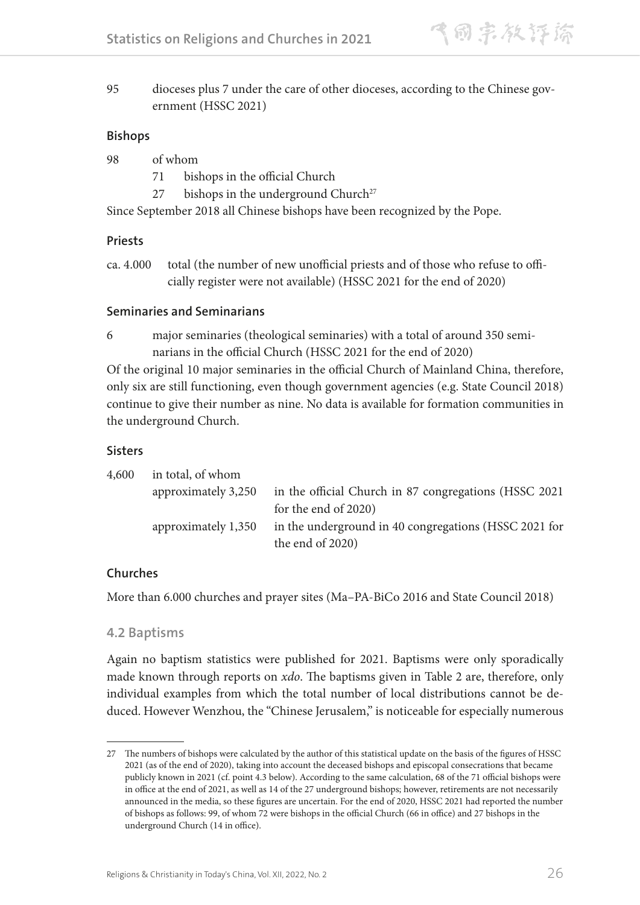95 dioceses plus 7 under the care of other dioceses, according to the Chinese government (HSSC 2021)

#### **Bishops**

| 98 | of whom |
|----|---------|
|    |         |

- 71 bishops in the official Church
- 27 bishops in the underground Church<sup>27</sup>

Since September 2018 all Chinese bishops have been recognized by the Pope.

## **Priests**

ca. 4.000 total (the number of new unofficial priests and of those who refuse to officially register were not available) (HSSC 2021 for the end of 2020)

### **Seminaries and Seminarians**

6 major seminaries (theological seminaries) with a total of around 350 seminarians in the official Church (HSSC 2021 for the end of 2020)

Of the original 10 major seminaries in the official Church of Mainland China, therefore, only six are still functioning, even though government agencies (e.g. State Council 2018) continue to give their number as nine. No data is available for formation communities in the underground Church.

### **Sisters**

| 4,600 | in total, of whom   |                                                        |
|-------|---------------------|--------------------------------------------------------|
|       | approximately 3,250 | in the official Church in 87 congregations (HSSC 2021) |
|       |                     | for the end of 2020)                                   |
|       | approximately 1,350 | in the underground in 40 congregations (HSSC 2021 for  |
|       |                     | the end of 2020)                                       |

## **Churches**

More than 6.000 churches and prayer sites (Ma–PA-BiCo 2016 and State Council 2018)

#### **4.2 Baptisms**

Again no baptism statistics were published for 2021. Baptisms were only sporadically made known through reports on *xdo*. The baptisms given in Table 2 are, therefore, only individual examples from which the total number of local distributions cannot be deduced. However Wenzhou, the "Chinese Jerusalem," is noticeable for especially numerous

<sup>27</sup> The numbers of bishops were calculated by the author of this statistical update on the basis of the figures of HSSC 2021 (as of the end of 2020), taking into account the deceased bishops and episcopal consecrations that became publicly known in 2021 (cf. point 4.3 below). According to the same calculation, 68 of the 71 official bishops were in office at the end of 2021, as well as 14 of the 27 underground bishops; however, retirements are not necessarily announced in the media, so these figures are uncertain. For the end of 2020, HSSC 2021 had reported the number of bishops as follows: 99, of whom 72 were bishops in the official Church (66 in office) and 27 bishops in the underground Church (14 in office).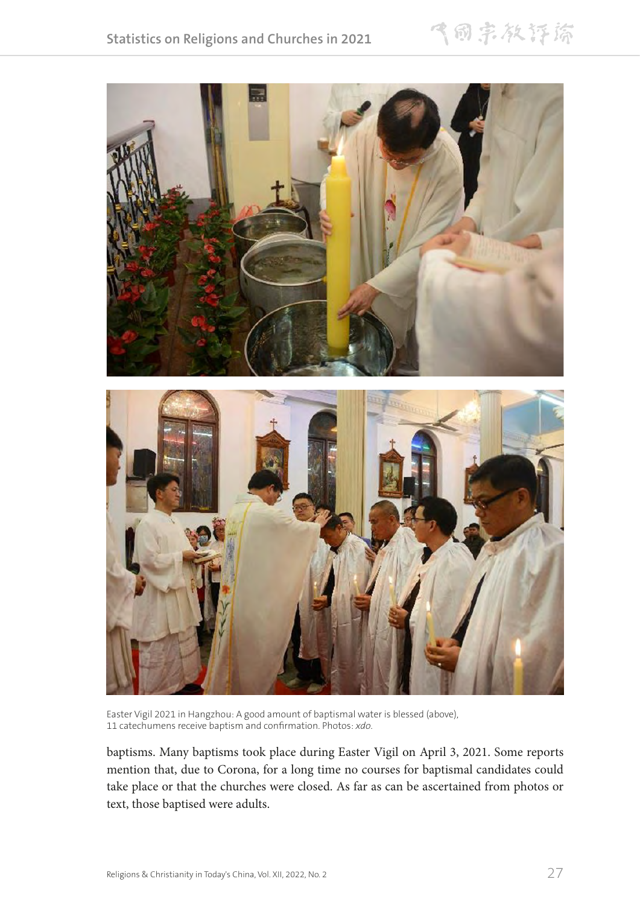飞雨宗教评除



Easter Vigil 2021 in Hangzhou: A good amount of baptismal water is blessed (above), 11 catechumens receive baptism and confirmation. Photos: *xdo*.

baptisms. Many baptisms took place during Easter Vigil on April 3, 2021. Some reports mention that, due to Corona, for a long time no courses for baptismal candidates could take place or that the churches were closed. As far as can be ascertained from photos or text, those baptised were adults.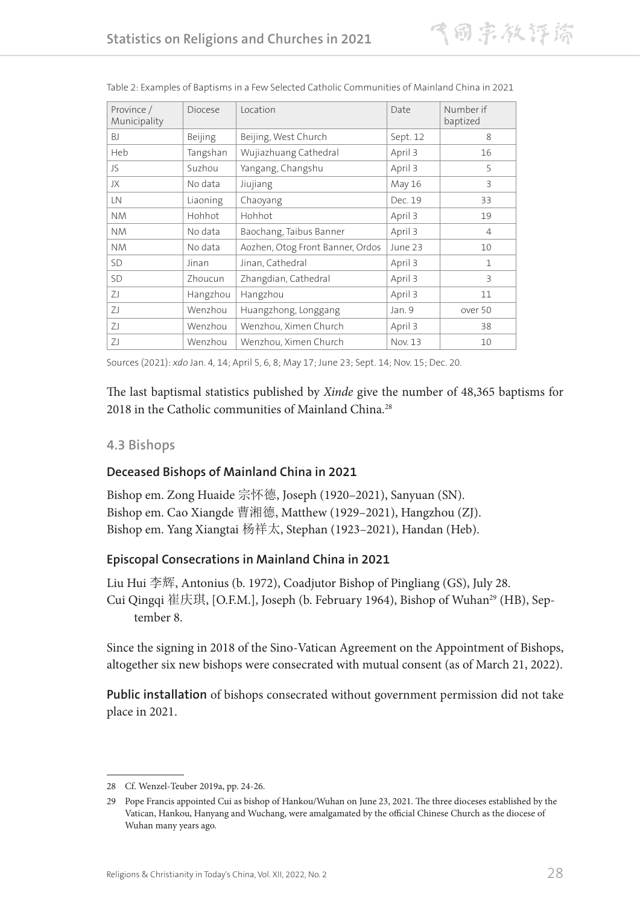| Province /<br>Municipality | Diocese  | Location                         | Date     | Number if<br>baptized |
|----------------------------|----------|----------------------------------|----------|-----------------------|
| <b>BJ</b>                  | Beijing  | Beijing, West Church             | Sept. 12 | 8                     |
| Heb                        | Tangshan | Wujiazhuang Cathedral            | April 3  | 16                    |
| JS                         | Suzhou   | Yangang, Changshu                | April 3  | 5                     |
| JX                         | No data  | Jiujiang                         | May 16   | 3                     |
| LN                         | Liaoning | Chaoyang                         | Dec. 19  | 33                    |
| <b>NM</b>                  | Hohhot   | Hohhot                           | April 3  | 19                    |
| <b>NM</b>                  | No data  | Baochang, Taibus Banner          | April 3  | $\overline{4}$        |
| <b>NM</b>                  | No data  | Aozhen, Otog Front Banner, Ordos | June 23  | 10                    |
| <b>SD</b>                  | Jinan    | Jinan, Cathedral                 | April 3  | $\mathbf{1}$          |
| <b>SD</b>                  | Zhoucun  | Zhangdian, Cathedral             | April 3  | 3                     |
| ΖJ                         | Hangzhou | Hangzhou                         | April 3  | 11                    |
| ZI                         | Wenzhou  | Huangzhong, Longgang             | Jan. 9   | over 50               |
| ΖJ                         | Wenzhou  | Wenzhou, Ximen Church            | April 3  | 38                    |
| ZI                         | Wenzhou  | Wenzhou, Ximen Church            | Nov. 13  | 10                    |

|  |  |  |  | Table 2: Examples of Baptisms in a Few Selected Catholic Communities of Mainland China in 2021 |  |  |  |
|--|--|--|--|------------------------------------------------------------------------------------------------|--|--|--|
|--|--|--|--|------------------------------------------------------------------------------------------------|--|--|--|

Sources (2021): *xdo* Jan. 4, 14; April 5, 6, 8; May 17; June 23; Sept. 14; Nov. 15; Dec. 20.

The last baptismal statistics published by *Xinde* give the number of 48,365 baptisms for 2018 in the Catholic communities of Mainland China.<sup>28</sup>

#### **4.3 Bishops**

#### **Deceased Bishops of Mainland China in 2021**

Bishop em. Zong Huaide 宗怀德, Joseph (1920–2021), Sanyuan (SN). Bishop em. Cao Xiangde 曹湘德, Matthew (1929–2021), Hangzhou (ZJ). Bishop em. Yang Xiangtai 杨祥太, Stephan (1923–2021), Handan (Heb).

#### **Episcopal Consecrations in Mainland China in 2021**

Liu Hui 李辉, Antonius (b. 1972), Coadjutor Bishop of Pingliang (GS), July 28. Cui Qingqi 崔庆琪, [O.F.M.], Joseph (b. February 1964), Bishop of Wuhan<sup>29</sup> (HB), September 8.

Since the signing in 2018 of the Sino-Vatican Agreement on the Appointment of Bishops, altogether six new bishops were consecrated with mutual consent (as of March 21, 2022).

**Public installation** of bishops consecrated without government permission did not take place in 2021.

<sup>28</sup> Cf. Wenzel-Teuber 2019a, pp. 24-26.

<sup>29</sup> Pope Francis appointed Cui as bishop of Hankou/Wuhan on June 23, 2021. The three dioceses established by the Vatican, Hankou, Hanyang and Wuchang, were amalgamated by the official Chinese Church as the diocese of Wuhan many years ago.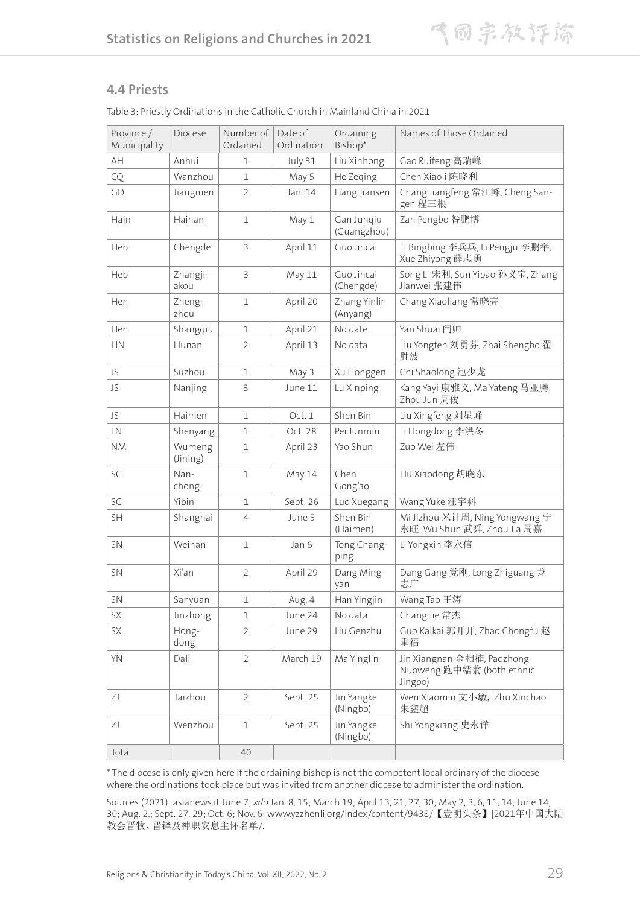#### **4.4 Priests**

| Province /<br>Municipality | Diocese            | Number of<br>Ordained | Date of<br>Ordination | Ordaining<br>Bishop*      | Names of Those Ordained                                            |
|----------------------------|--------------------|-----------------------|-----------------------|---------------------------|--------------------------------------------------------------------|
| AH                         | Anhui              | 1                     | July 31               | Liu Xinhong               | Gao Ruifeng 高瑞峰                                                    |
| CQ                         | Wanzhou            | $\mathbf{1}$          | May 5                 | He Zeging                 | Chen Xiaoli 陈晓利                                                    |
| GD                         | Jiangmen           | $\overline{2}$        | Jan. 14               | Liang Jiansen             | Chang Jiangfeng 常江峰, Cheng San-<br>gen 程三根                         |
| Hain                       | Hainan             | 1                     | May 1                 | Gan Jungiu<br>(Guangzhou) | Zan Pengbo 昝鹏博                                                     |
| Heb                        | Chengde            | 3                     | April 11              | Guo Jincai                | Li Bingbing 李兵兵, Li Pengju 李鹏举,<br>Xue Zhiyong 薛志勇                 |
| Heb                        | Zhangji-<br>akou   | 3                     | May 11                | Guo Jincai<br>(Chengde)   | Song Li 宋利, Sun Yibao 孙义宝, Zhang<br>Jianwei 张建伟                    |
| Hen                        | Zheng-<br>zhou     | $\mathbf 1$           | April 20              | Zhang Yinlin<br>(Anyang)  | Chang Xiaoliang 常晓亮                                                |
| Hen                        | Shangqiu           | 1                     | April 21              | No date                   | Yan Shuai 闫帅                                                       |
| <b>HN</b>                  | Hunan              | $\overline{2}$        | April 13              | No data                   | Liu Yongfen 刘勇芬, Zhai Shengbo 翟<br>胜波                              |
| JS                         | Suzhou             | 1                     | May 3                 | Xu Honggen                | Chi Shaolong 池少龙                                                   |
| JS                         | Nanjing            | $\mathsf 3$           | June 11               | Lu Xinping                | Kang Yayi 康雅义, Ma Yateng 马亚腾,<br>Zhou Jun 周俊                       |
| JS                         | Haimen             | 1                     | Oct. 1                | Shen Bin                  | Liu Xingfeng 刘星峰                                                   |
| LN                         | Shenyang           | 1                     | Oct. 28               | Pei Junmin                | Li Hongdong 李洪冬                                                    |
| <b>NM</b>                  | Wumeng<br>(Jining) | $\mathbf 1$           | April 23              | Yao Shun                  | Zuo Wei 左伟                                                         |
| SC                         | Nan-<br>chong      | $\mathbf{1}$          | May 14                | Chen<br>Gong'ao           | Hu Xiaodong 胡晓东                                                    |
| <b>SC</b>                  | Yibin              | $\mathbf{1}$          | Sept. 26              | Luo Xuegang               | Wang Yuke 汪宇科                                                      |
| SH                         | Shanghai           | $\overline{4}$        | June 5                | Shen Bin<br>(Haimen)      | Mi Jizhou 米计周, Ning Yongwang 宁<br>永旺, Wu Shun 武舜, Zhou Jia 周嘉      |
| <b>SN</b>                  | Weinan             | $\mathbf{1}$          | Jan 6                 | Tong Chang-<br>ping       | Li Yongxin 李永信                                                     |
| <b>SN</b>                  | Xi'an              | $\overline{2}$        | April 29              | Dang Ming-<br>yan         | Dang Gang 党刚, Long Zhiguang 龙<br>志广                                |
| SN                         | Sanyuan            | $\mathbf 1$           | Aug. 4                | Han Yingjin               | Wang Tao 王涛                                                        |
| SX                         | Jinzhong           | $\mathbf 1$           | June 24               | No data                   | Chang Jie 常杰                                                       |
| SX                         | Hong-<br>dong      | $\overline{2}$        | June 29               | Liu Genzhu                | Guo Kaikai 郭开开, Zhao Chongfu 赵<br>重福                               |
| YN                         | Dali               | $\overline{2}$        | March 19              | Ma Yinglin                | Jin Xiangnan 金相楠, Paozhong<br>Nuoweng 跑中糯翁 (both ethnic<br>Jingpo) |
| ΖJ                         | Taizhou            | $\overline{2}$        | Sept. 25              | Jin Yangke<br>(Ningbo)    | Wen Xiaomin 文小敏, Zhu Xinchao<br>朱鑫超                                |
| ΖJ                         | Wenzhou            | $\mathbf{1}$          | Sept. 25              | Jin Yangke<br>(Ningbo)    | Shi Yongxiang 史永详                                                  |
| Total                      |                    | 40                    |                       |                           |                                                                    |

Table 3: Priestly Ordinations in the Catholic Church in Mainland China in 2021

\* The diocese is only given here if the ordaining bishop is not the competent local ordinary of the diocese where the ordinations took place but was invited from another diocese to administer the ordination.

Sources (2021): asianews.it June 7; *xdo* Jan. 8, 15; March 19; April 13, 21, 27, 30; May 2, 3, 6, 11, 14; June 14, 30; Aug. 2.; Sept. 27, 29; Oct. 6; Nov. 6; www.yzzhenli.org/index/content/9438/【壹明头条】|2021年中国大陆 教会晋牧、晋铎及神职安息主怀名单/.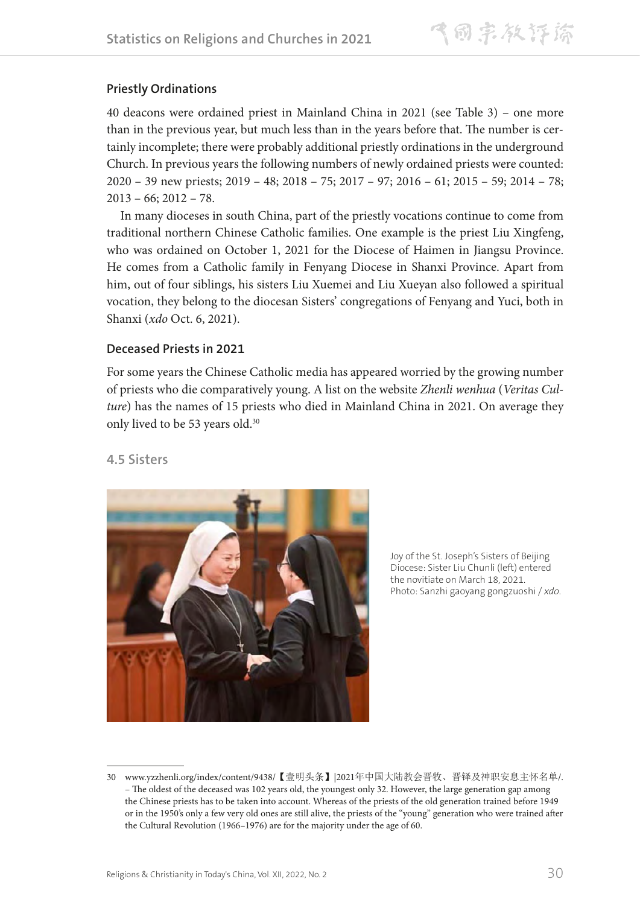## **Priestly Ordinations**

40 deacons were ordained priest in Mainland China in 2021 (see Table 3) – one more than in the previous year, but much less than in the years before that. The number is certainly incomplete; there were probably additional priestly ordinations in the underground Church. In previous years the following numbers of newly ordained priests were counted: 2020 – 39 new priests; 2019 – 48; 2018 – 75; 2017 – 97; 2016 – 61; 2015 – 59; 2014 – 78;  $2013 - 66$ ;  $2012 - 78$ .

In many dioceses in south China, part of the priestly vocations continue to come from traditional northern Chinese Catholic families. One example is the priest Liu Xingfeng, who was ordained on October 1, 2021 for the Diocese of Haimen in Jiangsu Province. He comes from a Catholic family in Fenyang Diocese in Shanxi Province. Apart from him, out of four siblings, his sisters Liu Xuemei and Liu Xueyan also followed a spiritual vocation, they belong to the diocesan Sisters' congregations of Fenyang and Yuci, both in Shanxi (*xdo* Oct. 6, 2021).

### **Deceased Priests in 2021**

For some years the Chinese Catholic media has appeared worried by the growing number of priests who die comparatively young. A list on the website *Zhenli wenhua* (*Veritas Culture*) has the names of 15 priests who died in Mainland China in 2021. On average they only lived to be 53 years old.<sup>30</sup>

## **4.5 Sisters**



Joy of the St. Joseph's Sisters of Beijing Diocese: Sister Liu Chunli (left) entered the novitiate on March 18, 2021. Photo: Sanzhi gaoyang gongzuoshi / *xdo*.

<sup>30</sup> www.yzzhenli.org/index/content/9438/【壹明头条】|2021年中国大陆教会晋牧、晋铎及神职安息主怀名单/. – The oldest of the deceased was 102 years old, the youngest only 32. However, the large generation gap among the Chinese priests has to be taken into account. Whereas of the priests of the old generation trained before 1949 or in the 1950's only a few very old ones are still alive, the priests of the "young" generation who were trained after the Cultural Revolution (1966–1976) are for the majority under the age of 60.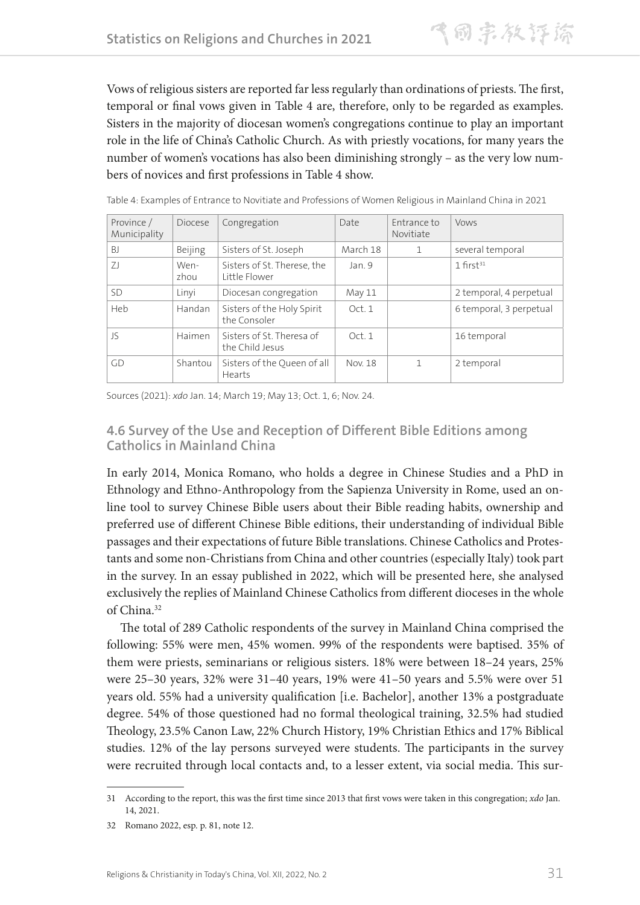Vows of religious sisters are reported far less regularly than ordinations of priests. The first, temporal or final vows given in Table 4 are, therefore, only to be regarded as examples. Sisters in the majority of diocesan women's congregations continue to play an important role in the life of China's Catholic Church. As with priestly vocations, for many years the number of women's vocations has also been diminishing strongly – as the very low numbers of novices and first professions in Table 4 show.

| Province /<br>Municipality | Diocese      | Congregation                                 | Date     | Entrance to<br>Novitiate | <b>Vows</b>             |
|----------------------------|--------------|----------------------------------------------|----------|--------------------------|-------------------------|
| B <sub>1</sub>             | Beijing      | Sisters of St. Joseph                        | March 18 |                          | several temporal        |
| 71                         | Wen-<br>zhou | Sisters of St. Therese, the<br>Little Flower | Jan. 9   |                          | $1$ first <sup>31</sup> |
| <b>SD</b>                  | Linyi        | Diocesan congregation                        | May 11   |                          | 2 temporal, 4 perpetual |
| Heb                        | Handan       | Sisters of the Holy Spirit<br>the Consoler   | Oct. 1   |                          | 6 temporal, 3 perpetual |
| $\sqrt{\zeta}$             | Haimen       | Sisters of St. Theresa of<br>the Child Jesus | Oct. 1   |                          | 16 temporal             |
| GD                         | Shantou      | Sisters of the Queen of all<br>Hearts        | Nov. 18  |                          | 2 temporal              |

Table 4: Examples of Entrance to Novitiate and Professions of Women Religious in Mainland China in 2021

Sources (2021): *xdo* Jan. 14; March 19; May 13; Oct. 1, 6; Nov. 24.

### **4.6 Survey of the Use and Reception of Different Bible Editions among Catholics in Mainland China**

In early 2014, Monica Romano, who holds a degree in Chinese Studies and a PhD in Ethnology and Ethno-Anthropology from the Sapienza University in Rome, used an online tool to survey Chinese Bible users about their Bible reading habits, ownership and preferred use of different Chinese Bible editions, their understanding of individual Bible passages and their expectations of future Bible translations. Chinese Catholics and Protestants and some non-Christians from China and other countries (especially Italy) took part in the survey. In an essay published in 2022, which will be presented here, she analysed exclusively the replies of Mainland Chinese Catholics from different dioceses in the whole of China.32

The total of 289 Catholic respondents of the survey in Mainland China comprised the following: 55% were men, 45% women. 99% of the respondents were baptised. 35% of them were priests, seminarians or religious sisters. 18% were between 18–24 years, 25% were 25–30 years, 32% were 31–40 years, 19% were 41–50 years and 5.5% were over 51 years old. 55% had a university qualification [i.e. Bachelor], another 13% a postgraduate degree. 54% of those questioned had no formal theological training, 32.5% had studied Theology, 23.5% Canon Law, 22% Church History, 19% Christian Ethics and 17% Biblical studies. 12% of the lay persons surveyed were students. The participants in the survey were recruited through local contacts and, to a lesser extent, via social media. This sur-

<sup>31</sup> According to the report, this was the first time since 2013 that first vows were taken in this congregation; *xdo* Jan. 14, 2021.

<sup>32</sup> Romano 2022, esp. p. 81, note 12.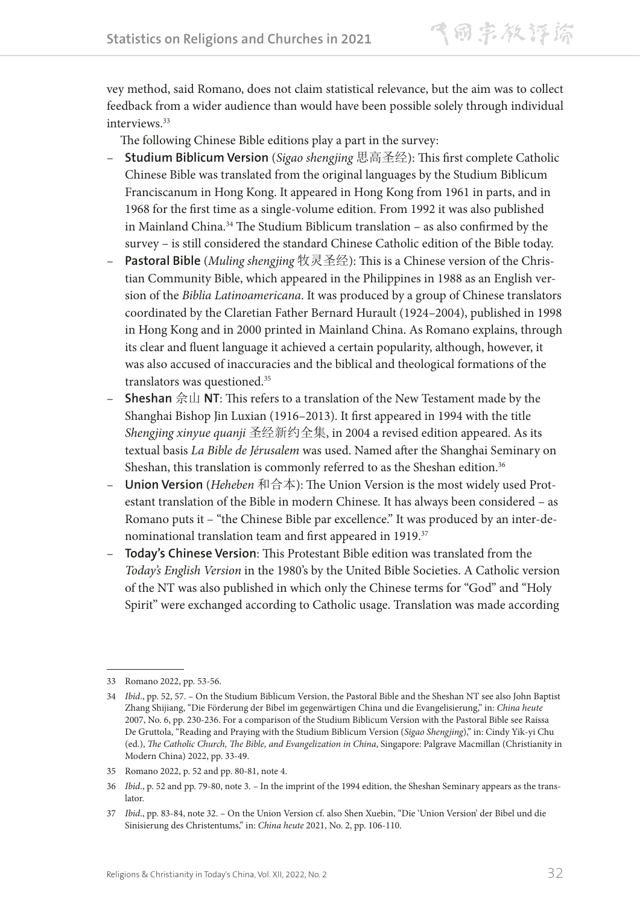vey method, said Romano, does not claim statistical relevance, but the aim was to collect feedback from a wider audience than would have been possible solely through individual interviews.<sup>33</sup>

The following Chinese Bible editions play a part in the survey:

- **Studium Biblicum Version** (*Sigao shengjing* 思高圣经): This first complete Catholic Chinese Bible was translated from the original languages by the Studium Biblicum Franciscanum in Hong Kong. It appeared in Hong Kong from 1961 in parts, and in 1968 for the first time as a single-volume edition. From 1992 it was also published in Mainland China.<sup>34</sup> The Studium Biblicum translation - as also confirmed by the survey – is still considered the standard Chinese Catholic edition of the Bible today.
- **Pastoral Bible** (*Muling shengjing* 牧灵圣经): This is a Chinese version of the Christian Community Bible, which appeared in the Philippines in 1988 as an English version of the *Biblia Latinoamericana*. It was produced by a group of Chinese translators coordinated by the Claretian Father Bernard Hurault (1924–2004), published in 1998 in Hong Kong and in 2000 printed in Mainland China. As Romano explains, through its clear and fluent language it achieved a certain popularity, although, however, it was also accused of inaccuracies and the biblical and theological formations of the translators was questioned.<sup>35</sup>
- **Sheshan** 佘山 **NT**: This refers to a translation of the New Testament made by the Shanghai Bishop Jin Luxian (1916–2013). It first appeared in 1994 with the title *Shengjing xinyue quanji* 圣经新约全集, in 2004 a revised edition appeared. As its textual basis *La Bible de Jérusalem* was used. Named after the Shanghai Seminary on Sheshan, this translation is commonly referred to as the Sheshan edition.<sup>36</sup>
- **Union Version** (*Heheben* 和合本): The Union Version is the most widely used Protestant translation of the Bible in modern Chinese. It has always been considered – as Romano puts it – "the Chinese Bible par excellence." It was produced by an inter-denominational translation team and first appeared in 1919.37
- **Today's Chinese Version**: This Protestant Bible edition was translated from the *Today's English Version* in the 1980's by the United Bible Societies. A Catholic version of the NT was also published in which only the Chinese terms for "God" and "Holy Spirit" were exchanged according to Catholic usage. Translation was made according

<sup>33</sup> Romano 2022, pp. 53-56.

<sup>34</sup> *Ibid*., pp. 52, 57. – On the Studium Biblicum Version, the Pastoral Bible and the Sheshan NT see also John Baptist Zhang Shijiang, "Die Förderung der Bibel im gegenwärtigen China und die Evangelisierung," in: *China heute* 2007, No. 6, pp. 230-236. For a comparison of the Studium Biblicum Version with the Pastoral Bible see Raissa De Gruttola, "Reading and Praying with the Studium Biblicum Version (*Sigao Shengjing*)," in: Cindy Yik-yi Chu (ed.), *The Catholic Church, The Bible, and Evangelization in China*, Singapore: Palgrave Macmillan (Christianity in Modern China) 2022, pp. 33-49.

<sup>35</sup> Romano 2022, p. 52 and pp. 80-81, note 4.

<sup>36</sup> *Ibid*., p. 52 and pp. 79-80, note 3. – In the imprint of the 1994 edition, the Sheshan Seminary appears as the translator.

<sup>37</sup> *Ibid*., pp. 83-84, note 32. – On the Union Version cf. also Shen Xuebin, "Die 'Union Version' der Bibel und die Sinisierung des Christentums," in: *China heute* 2021, No. 2, pp. 106-110.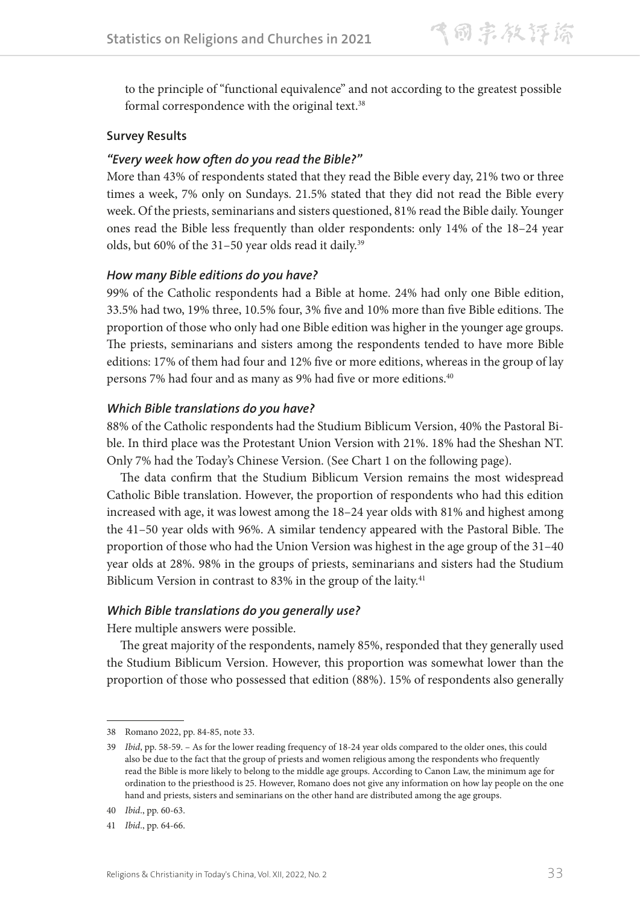to the principle of "functional equivalence" and not according to the greatest possible formal correspondence with the original text.<sup>38</sup>

#### **Survey Results**

#### *"Every week how often do you read the Bible?"*

More than 43% of respondents stated that they read the Bible every day, 21% two or three times a week, 7% only on Sundays. 21.5% stated that they did not read the Bible every week. Of the priests, seminarians and sisters questioned, 81% read the Bible daily. Younger ones read the Bible less frequently than older respondents: only 14% of the 18–24 year olds, but 60% of the 31-50 year olds read it daily.<sup>39</sup>

#### *How many Bible editions do you have?*

99% of the Catholic respondents had a Bible at home. 24% had only one Bible edition, 33.5% had two, 19% three, 10.5% four, 3% five and 10% more than five Bible editions. The proportion of those who only had one Bible edition was higher in the younger age groups. The priests, seminarians and sisters among the respondents tended to have more Bible editions: 17% of them had four and 12% five or more editions, whereas in the group of lay persons 7% had four and as many as 9% had five or more editions.40

#### *Which Bible translations do you have?*

88% of the Catholic respondents had the Studium Biblicum Version, 40% the Pastoral Bible. In third place was the Protestant Union Version with 21%. 18% had the Sheshan NT. Only 7% had the Today's Chinese Version. (See Chart 1 on the following page).

The data confirm that the Studium Biblicum Version remains the most widespread Catholic Bible translation. However, the proportion of respondents who had this edition increased with age, it was lowest among the 18–24 year olds with 81% and highest among the 41–50 year olds with 96%. A similar tendency appeared with the Pastoral Bible. The proportion of those who had the Union Version was highest in the age group of the 31–40 year olds at 28%. 98% in the groups of priests, seminarians and sisters had the Studium Biblicum Version in contrast to 83% in the group of the laity.<sup>41</sup>

#### *Which Bible translations do you generally use?*

Here multiple answers were possible.

The great majority of the respondents, namely 85%, responded that they generally used the Studium Biblicum Version. However, this proportion was somewhat lower than the proportion of those who possessed that edition (88%). 15% of respondents also generally

<sup>38</sup> Romano 2022, pp. 84-85, note 33.

<sup>39</sup> *Ibid*, pp. 58-59. – As for the lower reading frequency of 18-24 year olds compared to the older ones, this could also be due to the fact that the group of priests and women religious among the respondents who frequently read the Bible is more likely to belong to the middle age groups. According to Canon Law, the minimum age for ordination to the priesthood is 25. However, Romano does not give any information on how lay people on the one hand and priests, sisters and seminarians on the other hand are distributed among the age groups.

<sup>40</sup> *Ibid*., pp. 60-63.

<sup>41</sup> *Ibid*., pp. 64-66.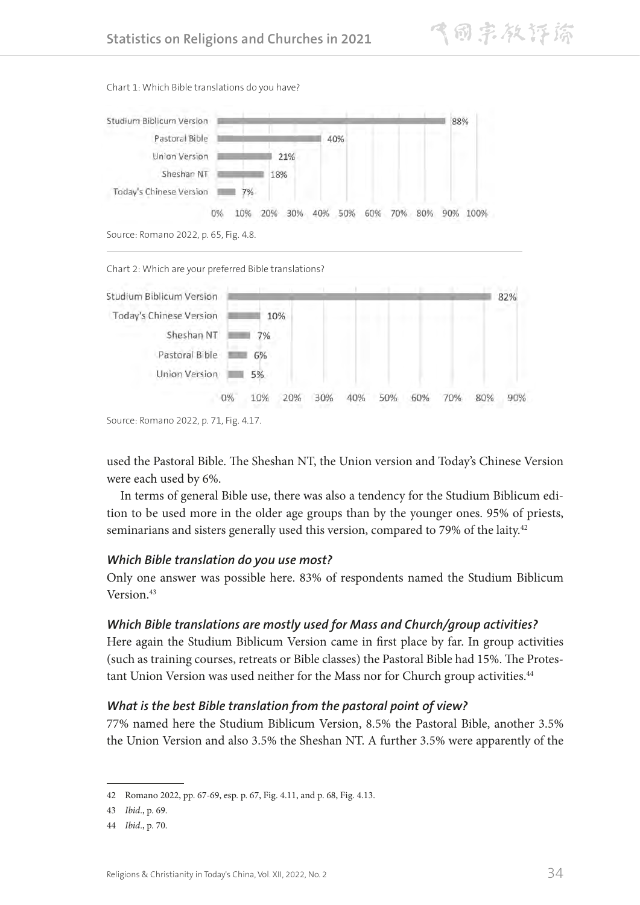

Chart 1: Which Bible translations do you have?



Source: Romano 2022, p. 71, Fig. 4.17.

used the Pastoral Bible. The Sheshan NT, the Union version and Today's Chinese Version were each used by 6%.

In terms of general Bible use, there was also a tendency for the Studium Biblicum edition to be used more in the older age groups than by the younger ones. 95% of priests, seminarians and sisters generally used this version, compared to 79% of the laity.<sup>42</sup>

#### *Which Bible translation do you use most?*

Only one answer was possible here. 83% of respondents named the Studium Biblicum Version.<sup>43</sup>

## *Which Bible translations are mostly used for Mass and Church/group activities?*

Here again the Studium Biblicum Version came in first place by far. In group activities (such as training courses, retreats or Bible classes) the Pastoral Bible had 15%. The Protestant Union Version was used neither for the Mass nor for Church group activities.<sup>44</sup>

## *What is the best Bible translation from the pastoral point of view?*

77% named here the Studium Biblicum Version, 8.5% the Pastoral Bible, another 3.5% the Union Version and also 3.5% the Sheshan NT. A further 3.5% were apparently of the

<sup>42</sup> Romano 2022, pp. 67-69, esp. p. 67, Fig. 4.11, and p. 68, Fig. 4.13.

<sup>43</sup> *Ibid*., p. 69.

<sup>44</sup> *Ibid*., p. 70.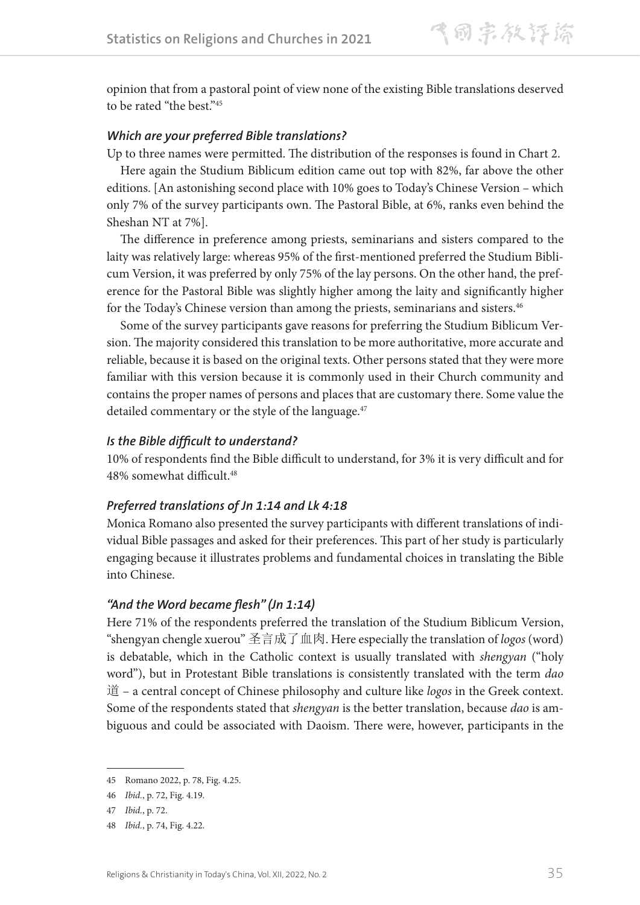opinion that from a pastoral point of view none of the existing Bible translations deserved to be rated "the best."<sup>45</sup>

#### *Which are your preferred Bible translations?*

Up to three names were permitted. The distribution of the responses is found in Chart 2.

Here again the Studium Biblicum edition came out top with 82%, far above the other editions. [An astonishing second place with 10% goes to Today's Chinese Version – which only 7% of the survey participants own. The Pastoral Bible, at 6%, ranks even behind the Sheshan NT at 7%].

The difference in preference among priests, seminarians and sisters compared to the laity was relatively large: whereas 95% of the first-mentioned preferred the Studium Biblicum Version, it was preferred by only 75% of the lay persons. On the other hand, the preference for the Pastoral Bible was slightly higher among the laity and significantly higher for the Today's Chinese version than among the priests, seminarians and sisters.<sup>46</sup>

Some of the survey participants gave reasons for preferring the Studium Biblicum Version. The majority considered this translation to be more authoritative, more accurate and reliable, because it is based on the original texts. Other persons stated that they were more familiar with this version because it is commonly used in their Church community and contains the proper names of persons and places that are customary there. Some value the detailed commentary or the style of the language.<sup>47</sup>

#### *Is the Bible difficult to understand?*

10% of respondents find the Bible difficult to understand, for 3% it is very difficult and for 48% somewhat difficult.<sup>48</sup>

#### *Preferred translations of Jn 1:14 and Lk 4:18*

Monica Romano also presented the survey participants with different translations of individual Bible passages and asked for their preferences. This part of her study is particularly engaging because it illustrates problems and fundamental choices in translating the Bible into Chinese.

#### *"And the Word became flesh" (Jn 1:14)*

Here 71% of the respondents preferred the translation of the Studium Biblicum Version, "shengyan chengle xuerou" 圣言成了血肉. Here especially the translation of *logos* (word) is debatable, which in the Catholic context is usually translated with *shengyan* ("holy word"), but in Protestant Bible translations is consistently translated with the term *dao* 道 – a central concept of Chinese philosophy and culture like *logos* in the Greek context. Some of the respondents stated that *shengyan* is the better translation, because *dao* is ambiguous and could be associated with Daoism. There were, however, participants in the

<sup>45</sup> Romano 2022, p. 78, Fig. 4.25.

<sup>46</sup> *Ibid.*, p. 72, Fig. 4.19.

<sup>47</sup> *Ibid.*, p. 72.

<sup>48</sup> *Ibid.*, p. 74, Fig. 4.22.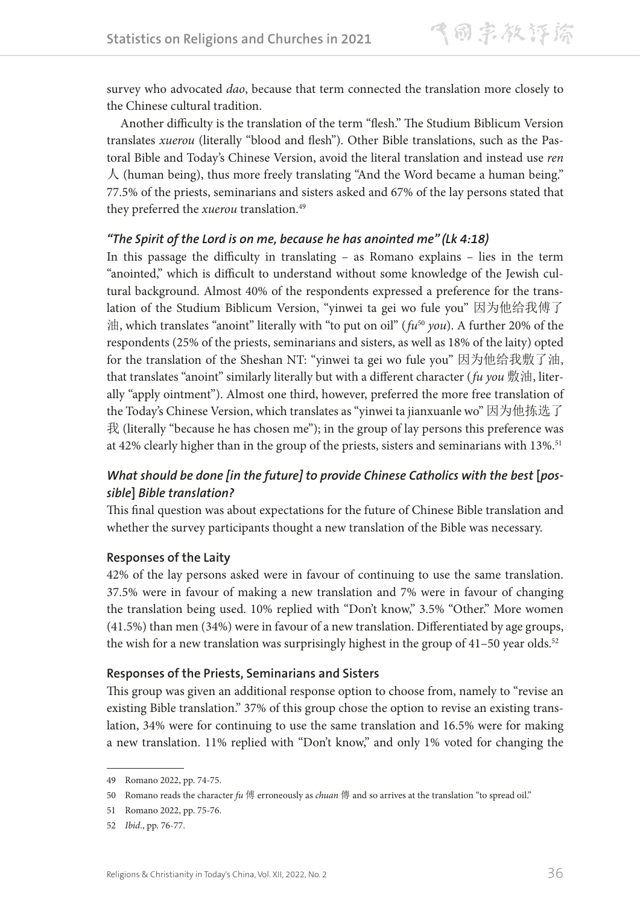survey who advocated *dao*, because that term connected the translation more closely to the Chinese cultural tradition.

Another difficulty is the translation of the term "flesh." The Studium Biblicum Version translates *xuerou* (literally "blood and flesh"). Other Bible translations, such as the Pastoral Bible and Today's Chinese Version, avoid the literal translation and instead use *ren*  人 (human being), thus more freely translating "And the Word became a human being." 77.5% of the priests, seminarians and sisters asked and 67% of the lay persons stated that they preferred the *xuerou* translation.<sup>49</sup>

### *"The Spirit of the Lord is on me, because he has anointed me" (Lk 4:18)*

In this passage the difficulty in translating – as Romano explains – lies in the term "anointed," which is difficult to understand without some knowledge of the Jewish cultural background. Almost 40% of the respondents expressed a preference for the translation of the Studium Biblicum Version, "yinwei ta gei wo fule you" 因为他给我傅了 油, which translates "anoint" literally with "to put on oil" (*fu*<sup>50</sup> *you*). A further 20% of the respondents (25% of the priests, seminarians and sisters, as well as 18% of the laity) opted for the translation of the Sheshan NT: "yinwei ta gei wo fule you" 因为他给我敷了油, that translates "anoint" similarly literally but with a different character (*fu you* 敷油, literally "apply ointment"). Almost one third, however, preferred the more free translation of the Today's Chinese Version, which translates as "yinwei ta jianxuanle wo" 因为他拣选了  $\mathcal{R}$  (literally "because he has chosen me"); in the group of lay persons this preference was at 42% clearly higher than in the group of the priests, sisters and seminarians with 13%.<sup>51</sup>

## **What should be done [in the future] to provide Chinese Catholics with the best [pos***sible***]** *Bible translation?*

This final question was about expectations for the future of Chinese Bible translation and whether the survey participants thought a new translation of the Bible was necessary.

#### **Responses of the Laity**

42% of the lay persons asked were in favour of continuing to use the same translation. 37.5% were in favour of making a new translation and 7% were in favour of changing the translation being used. 10% replied with "Don't know," 3.5% "Other." More women (41.5%) than men (34%) were in favour of a new translation. Differentiated by age groups, the wish for a new translation was surprisingly highest in the group of  $41-50$  year olds.<sup>52</sup>

#### **Responses of the Priests, Seminarians and Sisters**

This group was given an additional response option to choose from, namely to "revise an existing Bible translation." 37% of this group chose the option to revise an existing translation, 34% were for continuing to use the same translation and 16.5% were for making a new translation. 11% replied with "Don't know," and only 1% voted for changing the

<sup>49</sup> Romano 2022, pp. 74-75.

<sup>50</sup> Romano reads the character *fu* 傅 erroneously as *chuan* 傳 and so arrives at the translation "to spread oil."

<sup>51</sup> Romano 2022, pp. 75-76.

<sup>52</sup> *Ibid*., pp. 76-77.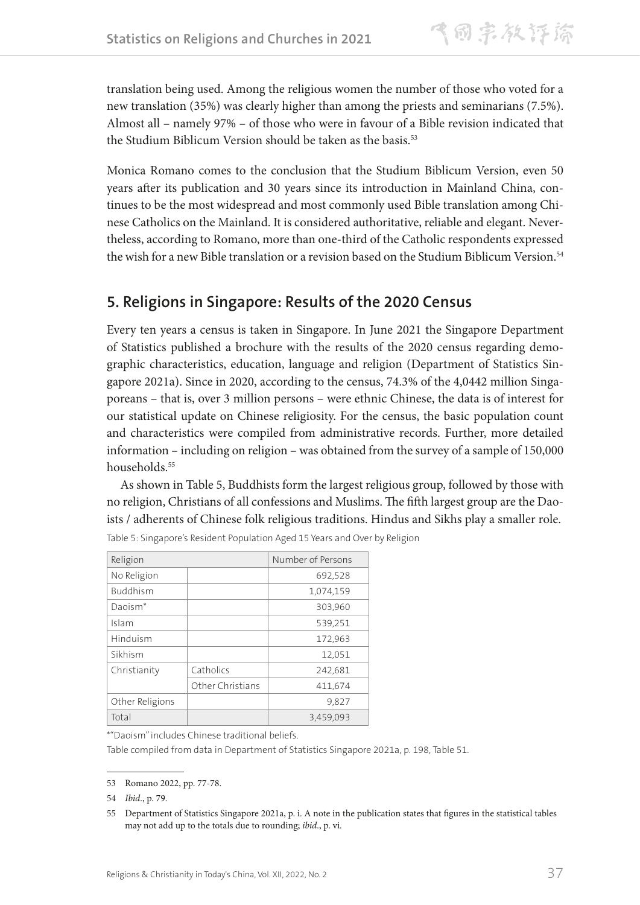translation being used. Among the religious women the number of those who voted for a new translation (35%) was clearly higher than among the priests and seminarians (7.5%). Almost all – namely 97% – of those who were in favour of a Bible revision indicated that the Studium Biblicum Version should be taken as the basis.<sup>53</sup>

Monica Romano comes to the conclusion that the Studium Biblicum Version, even 50 years after its publication and 30 years since its introduction in Mainland China, continues to be the most widespread and most commonly used Bible translation among Chinese Catholics on the Mainland. It is considered authoritative, reliable and elegant. Nevertheless, according to Romano, more than one-third of the Catholic respondents expressed the wish for a new Bible translation or a revision based on the Studium Biblicum Version.54

## **5. Religions in Singapore: Results of the 2020 Census**

Every ten years a census is taken in Singapore. In June 2021 the Singapore Department of Statistics published a brochure with the results of the 2020 census regarding demographic characteristics, education, language and religion (Department of Statistics Singapore 2021a). Since in 2020, according to the census, 74.3% of the 4,0442 million Singaporeans – that is, over 3 million persons – were ethnic Chinese, the data is of interest for our statistical update on Chinese religiosity. For the census, the basic population count and characteristics were compiled from administrative records. Further, more detailed information – including on religion – was obtained from the survey of a sample of 150,000 households.<sup>55</sup>

As shown in Table 5, Buddhists form the largest religious group, followed by those with no religion, Christians of all confessions and Muslims. The fifth largest group are the Daoists / adherents of Chinese folk religious traditions. Hindus and Sikhs play a smaller role.

| Religion            | Number of Persons |           |  |
|---------------------|-------------------|-----------|--|
| No Religion         |                   | 692,528   |  |
| <b>Buddhism</b>     |                   | 1,074,159 |  |
| Daoism <sup>*</sup> |                   | 303,960   |  |
| Islam               |                   | 539,251   |  |
| Hinduism            |                   | 172,963   |  |
| Sikhism             |                   | 12,051    |  |
| Christianity        | Catholics         | 242,681   |  |
|                     | Other Christians  | 411,674   |  |
| Other Religions     |                   | 9,827     |  |
| Total               |                   | 3,459,093 |  |

Table 5: Singapore's Resident Population Aged 15 Years and Over by Religion

\*"Daoism" includes Chinese traditional beliefs.

Table compiled from data in Department of Statistics Singapore 2021a, p. 198, Table 51.

<sup>53</sup> Romano 2022, pp. 77-78.

<sup>54</sup> *Ibid*., p. 79.

<sup>55</sup> Department of Statistics Singapore 2021a, p. i. A note in the publication states that figures in the statistical tables may not add up to the totals due to rounding; *ibid*., p. vi.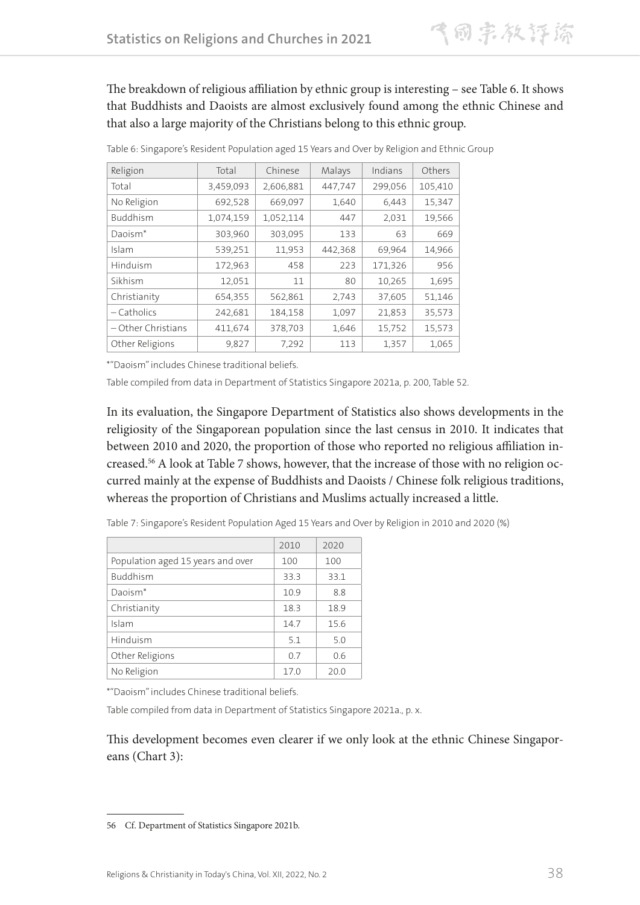The breakdown of religious affiliation by ethnic group is interesting – see Table 6. It shows that Buddhists and Daoists are almost exclusively found among the ethnic Chinese and that also a large majority of the Christians belong to this ethnic group.

| Religion             | Total     | Chinese   | Malays  | Indians | Others  |
|----------------------|-----------|-----------|---------|---------|---------|
| Total                | 3,459,093 | 2,606,881 | 447,747 | 299,056 | 105,410 |
| No Religion          | 692,528   | 669,097   | 1,640   | 6,443   | 15,347  |
| Buddhism             | 1,074,159 | 1,052,114 | 447     | 2,031   | 19,566  |
| Daoism <sup>*</sup>  | 303,960   | 303,095   | 133     | 63      | 669     |
| Islam                | 539,251   | 11,953    | 442,368 | 69,964  | 14,966  |
| Hinduism             | 172,963   | 458       | 223     | 171,326 | 956     |
| Sikhism              | 12,051    | 11        | 80      | 10,265  | 1,695   |
| Christianity         | 654,355   | 562,861   | 2,743   | 37,605  | 51,146  |
| $-$ Catholics        | 242,681   | 184,158   | 1,097   | 21,853  | 35,573  |
| $-$ Other Christians | 411,674   | 378,703   | 1,646   | 15,752  | 15,573  |
| Other Religions      | 9,827     | 7,292     | 113     | 1,357   | 1,065   |

Table 6: Singapore's Resident Population aged 15 Years and Over by Religion and Ethnic Group

\*"Daoism" includes Chinese traditional beliefs.

Table compiled from data in Department of Statistics Singapore 2021a, p. 200, Table 52.

In its evaluation, the Singapore Department of Statistics also shows developments in the religiosity of the Singaporean population since the last census in 2010. It indicates that between 2010 and 2020, the proportion of those who reported no religious affiliation increased.56 A look at Table 7 shows, however, that the increase of those with no religion occurred mainly at the expense of Buddhists and Daoists / Chinese folk religious traditions, whereas the proportion of Christians and Muslims actually increased a little.

|                                   | 2010 | 2020 |
|-----------------------------------|------|------|
| Population aged 15 years and over | 100  | 100  |
| <b>Buddhism</b>                   | 33.3 | 33.1 |
| Daoism <sup>*</sup>               | 10.9 | 8.8  |
| Christianity                      | 18.3 | 18.9 |
| Islam                             | 14.7 | 15.6 |
| Hinduism                          | 5.1  | 5.0  |
| Other Religions                   | 0.7  | 0.6  |
| No Religion                       | 17.0 | 20.0 |

Table 7: Singapore's Resident Population Aged 15 Years and Over by Religion in 2010 and 2020 (%)

\*"Daoism" includes Chinese traditional beliefs.

Table compiled from data in Department of Statistics Singapore 2021a., p. x.

This development becomes even clearer if we only look at the ethnic Chinese Singaporeans (Chart 3):

<sup>56</sup> Cf. Department of Statistics Singapore 2021b.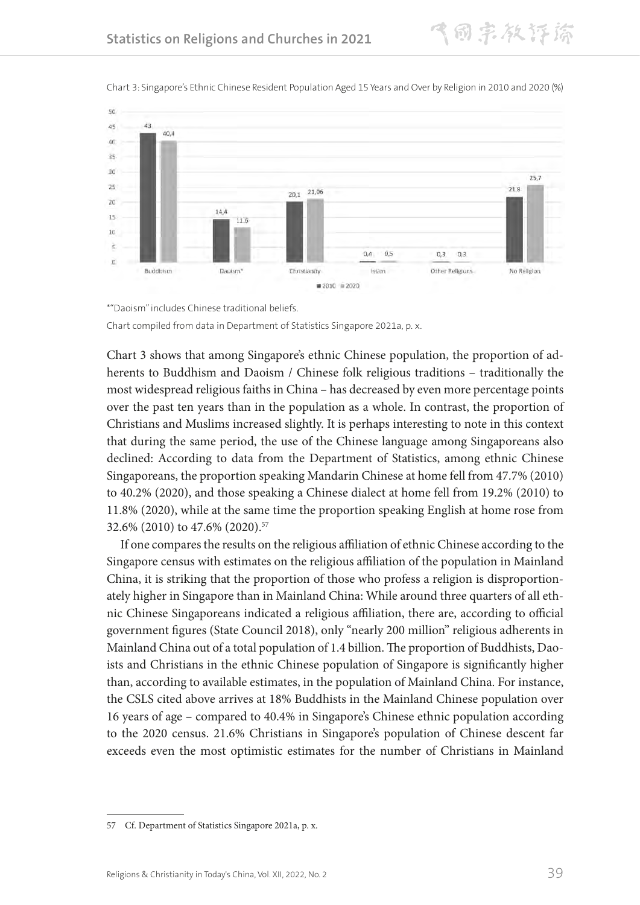

Chart 3: Singapore's Ethnic Chinese Resident Population Aged 15 Years and Over by Religion in 2010 and 2020 (%)

飞同宗教评游



Chart 3 shows that among Singapore's ethnic Chinese population, the proportion of adherents to Buddhism and Daoism / Chinese folk religious traditions – traditionally the most widespread religious faiths in China – has decreased by even more percentage points over the past ten years than in the population as a whole. In contrast, the proportion of Christians and Muslims increased slightly. It is perhaps interesting to note in this context that during the same period, the use of the Chinese language among Singaporeans also declined: According to data from the Department of Statistics, among ethnic Chinese Singaporeans, the proportion speaking Mandarin Chinese at home fell from 47.7% (2010) to 40.2% (2020), and those speaking a Chinese dialect at home fell from 19.2% (2010) to 11.8% (2020), while at the same time the proportion speaking English at home rose from 32.6% (2010) to 47.6% (2020).57

If one compares the results on the religious affiliation of ethnic Chinese according to the Singapore census with estimates on the religious affiliation of the population in Mainland China, it is striking that the proportion of those who profess a religion is disproportionately higher in Singapore than in Mainland China: While around three quarters of all ethnic Chinese Singaporeans indicated a religious affiliation, there are, according to official government figures (State Council 2018), only "nearly 200 million" religious adherents in Mainland China out of a total population of 1.4 billion. The proportion of Buddhists, Daoists and Christians in the ethnic Chinese population of Singapore is significantly higher than, according to available estimates, in the population of Mainland China. For instance, the CSLS cited above arrives at 18% Buddhists in the Mainland Chinese population over 16 years of age – compared to 40.4% in Singapore's Chinese ethnic population according to the 2020 census. 21.6% Christians in Singapore's population of Chinese descent far exceeds even the most optimistic estimates for the number of Christians in Mainland

<sup>57</sup> Cf. Department of Statistics Singapore 2021a, p. x.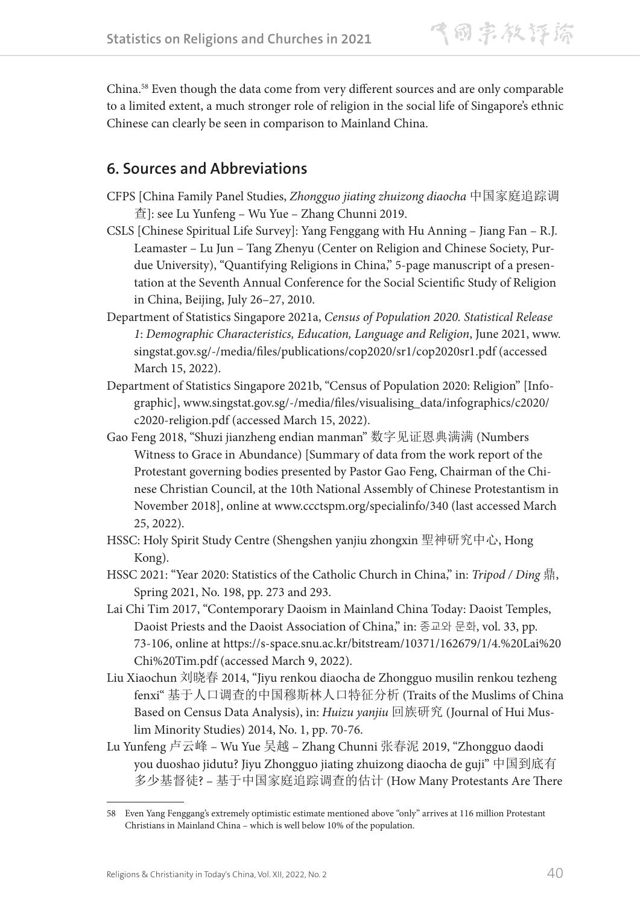China.58 Even though the data come from very different sources and are only comparable to a limited extent, a much stronger role of religion in the social life of Singapore's ethnic Chinese can clearly be seen in comparison to Mainland China.

## **6. Sources and Abbreviations**

- CFPS [China Family Panel Studies, *Zhongguo jiating zhuizong diaocha* 中国家庭追踪调 查]: see Lu Yunfeng – Wu Yue – Zhang Chunni 2019.
- CSLS [Chinese Spiritual Life Survey]: Yang Fenggang with Hu Anning Jiang Fan R.J. Leamaster – Lu Jun – Tang Zhenyu (Center on Religion and Chinese Society, Purdue University), "Quantifying Religions in China," 5-page manuscript of a presentation at the Seventh Annual Conference for the Social Scientific Study of Religion in China, Beijing, July 26–27, 2010.
- Department of Statistics Singapore 2021a, *Census of Population 2020. Statistical Release 1*: *Demographic Characteristics, Education, Language and Religion*, June 2021, www. singstat.gov.sg/-/media/files/publications/cop2020/sr1/cop2020sr1.pdf (accessed March 15, 2022).
- Department of Statistics Singapore 2021b, "Census of Population 2020: Religion" [Infographic], www.singstat.gov.sg/-/media/files/visualising\_data/infographics/c2020/ c2020-religion.pdf (accessed March 15, 2022).
- Gao Feng 2018, "Shuzi jianzheng endian manman" 数字见证恩典满满 (Numbers Witness to Grace in Abundance) [Summary of data from the work report of the Protestant governing bodies presented by Pastor Gao Feng, Chairman of the Chinese Christian Council, at the 10th National Assembly of Chinese Protestantism in November 2018], online at www.ccctspm.org/specialinfo/340 (last accessed March 25, 2022).
- HSSC: Holy Spirit Study Centre (Shengshen yanjiu zhongxin 聖神研究中心, Hong Kong).
- HSSC 2021: "Year 2020: Statistics of the Catholic Church in China," in: *Tripod / Ding* 鼎, Spring 2021, No. 198, pp. 273 and 293.
- Lai Chi Tim 2017, "Contemporary Daoism in Mainland China Today: Daoist Temples, Daoist Priests and the Daoist Association of China," in: 종교와 문화, vol. 33, pp. 73-106, online at https://s-space.snu.ac.kr/bitstream/10371/162679/1/4.%20Lai%20 Chi%20Tim.pdf (accessed March 9, 2022).
- Liu Xiaochun 刘晓春 2014, "Jiyu renkou diaocha de Zhongguo musilin renkou tezheng fenxi" 基于人口调查的中国穆斯林人口特征分析 (Traits of the Muslims of China Based on Census Data Analysis), in: *Huizu yanjiu* 回族研究 (Journal of Hui Muslim Minority Studies) 2014, No. 1, pp. 70-76.
- Lu Yunfeng 卢云峰 Wu Yue 吴越 Zhang Chunni 张春泥 2019, "Zhongguo daodi you duoshao jidutu? Jiyu Zhongguo jiating zhuizong diaocha de guji" 中国到底有 多少基督徒? – 基于中国家庭追踪调查的估计 (How Many Protestants Are There

<sup>58</sup> Even Yang Fenggang's extremely optimistic estimate mentioned above "only" arrives at 116 million Protestant Christians in Mainland China – which is well below 10% of the population.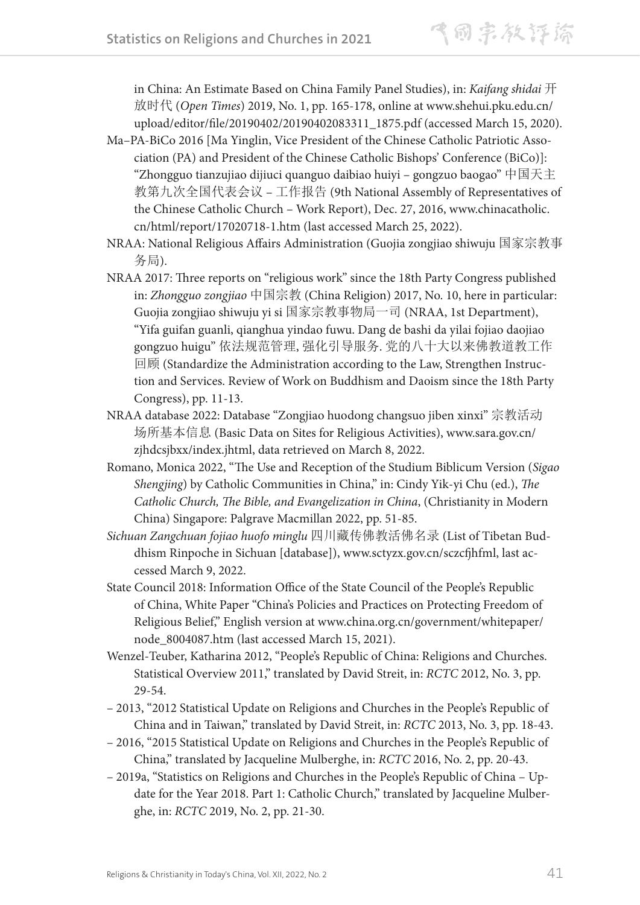in China: An Estimate Based on China Family Panel Studies), in: *Kaifang shidai* 开 放时代 (*Open Times*) 2019, No. 1, pp. 165-178, online at www.shehui.pku.edu.cn/ upload/editor/file/20190402/20190402083311\_1875.pdf (accessed March 15, 2020).

- Ma–PA-BiCo 2016 [Ma Yinglin, Vice President of the Chinese Catholic Patriotic Association (PA) and President of the Chinese Catholic Bishops' Conference (BiCo)]: "Zhongguo tianzujiao dijiuci quanguo daibiao huiyi – gongzuo baogao" 中国天主 教第九次全国代表会议 – 工作报告 (9th National Assembly of Representatives of the Chinese Catholic Church – Work Report), Dec. 27, 2016, www.chinacatholic. cn/html/report/17020718-1.htm (last accessed March 25, 2022).
- NRAA: National Religious Affairs Administration (Guojia zongjiao shiwuju 国家宗教事 务局).
- NRAA 2017: Three reports on "religious work" since the 18th Party Congress published in: *Zhongguo zongjiao* 中国宗教 (China Religion) 2017, No. 10, here in particular: Guojia zongjiao shiwuju yi si 国家宗教事物局一司 (NRAA, 1st Department), "Yifa guifan guanli, qianghua yindao fuwu. Dang de bashi da yilai fojiao daojiao gongzuo huigu" 依法规范管理, 强化引导服务. 党的八十大以来佛教道教工作 回顾 (Standardize the Administration according to the Law, Strengthen Instruction and Services. Review of Work on Buddhism and Daoism since the 18th Party Congress), pp. 11-13.
- NRAA database 2022: Database "Zongjiao huodong changsuo jiben xinxi" 宗教活动 场所基本信息 (Basic Data on Sites for Religious Activities), www.sara.gov.cn/ zjhdcsjbxx/index.jhtml, data retrieved on March 8, 2022.
- Romano, Monica 2022, "The Use and Reception of the Studium Biblicum Version (*Sigao Shengjing*) by Catholic Communities in China," in: Cindy Yik-yi Chu (ed.), *The Catholic Church, The Bible, and Evangelization in China*, (Christianity in Modern China) Singapore: Palgrave Macmillan 2022, pp. 51-85.
- *Sichuan Zangchuan fojiao huofo minglu* 四川藏传佛教活佛名录 (List of Tibetan Buddhism Rinpoche in Sichuan [database]), www.sctyzx.gov.cn/sczcfjhfml, last accessed March 9, 2022.
- State Council 2018: Information Office of the State Council of the People's Republic of China, White Paper "China's Policies and Practices on Protecting Freedom of Religious Belief," English version at www.china.org.cn/government/whitepaper/ node\_8004087.htm (last accessed March 15, 2021).
- Wenzel-Teuber, Katharina 2012, "People's Republic of China: Religions and Churches. Statistical Overview 2011," translated by David Streit, in: *RCTC* 2012, No. 3, pp. 29-54.
- 2013, "2012 Statistical Update on Religions and Churches in the People's Republic of China and in Taiwan," translated by David Streit, in: *RCTC* 2013, No. 3, pp. 18-43.
- 2016, "2015 Statistical Update on Religions and Churches in the People's Republic of China," translated by Jacqueline Mulberghe, in: *RCTC* 2016, No. 2, pp. 20-43.
- 2019a, "Statistics on Religions and Churches in the People's Republic of China Update for the Year 2018. Part 1: Catholic Church," translated by Jacqueline Mulberghe, in: *RCTC* 2019, No. 2, pp. 21-30.